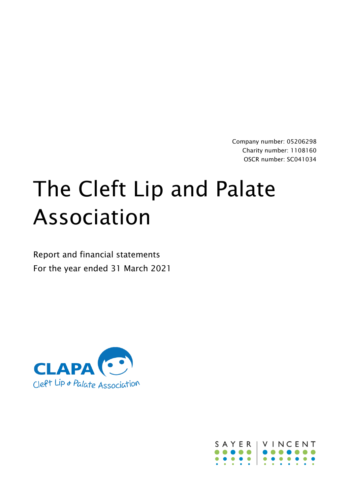Company number: 05206298 Charity number: 1108160 OSCR number: SC041034

# The Cleft Lip and Palate Association

Report and financial statements For the year ended 31 March 2021



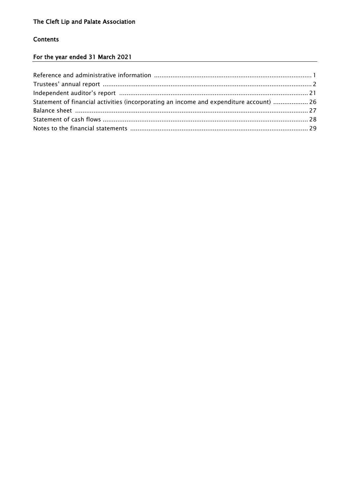# **Contents**

# For the year ended 31 March 2021

| Statement of financial activities (incorporating an income and expenditure account)  26 |  |
|-----------------------------------------------------------------------------------------|--|
|                                                                                         |  |
|                                                                                         |  |
|                                                                                         |  |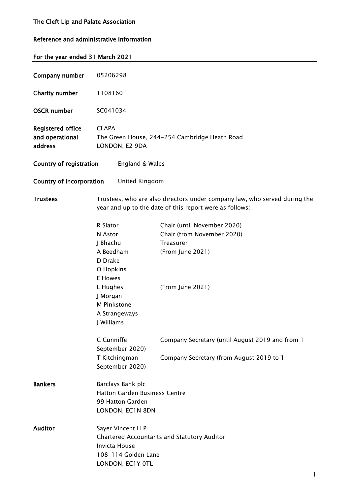# Reference and administrative information

| For the year ended 31 March 2021 |                                                                 |                                                                                                                                      |  |  |  |  |  |  |
|----------------------------------|-----------------------------------------------------------------|--------------------------------------------------------------------------------------------------------------------------------------|--|--|--|--|--|--|
|                                  |                                                                 |                                                                                                                                      |  |  |  |  |  |  |
| Company number                   | 05206298                                                        |                                                                                                                                      |  |  |  |  |  |  |
| <b>Charity number</b>            | 1108160                                                         |                                                                                                                                      |  |  |  |  |  |  |
| <b>OSCR number</b>               | SC041034                                                        |                                                                                                                                      |  |  |  |  |  |  |
| <b>Registered office</b>         | <b>CLAPA</b>                                                    |                                                                                                                                      |  |  |  |  |  |  |
| and operational<br>address       | The Green House, 244-254 Cambridge Heath Road<br>LONDON, E2 9DA |                                                                                                                                      |  |  |  |  |  |  |
| Country of registration          | England & Wales                                                 |                                                                                                                                      |  |  |  |  |  |  |
| Country of incorporation         | United Kingdom                                                  |                                                                                                                                      |  |  |  |  |  |  |
| <b>Trustees</b>                  |                                                                 | Trustees, who are also directors under company law, who served during the<br>year and up to the date of this report were as follows: |  |  |  |  |  |  |
|                                  | R Slator                                                        | Chair (until November 2020)                                                                                                          |  |  |  |  |  |  |
|                                  | N Astor                                                         | Chair (from November 2020)                                                                                                           |  |  |  |  |  |  |
|                                  | J Bhachu                                                        | Treasurer                                                                                                                            |  |  |  |  |  |  |
|                                  | A Beedham                                                       | (From June 2021)                                                                                                                     |  |  |  |  |  |  |
|                                  | D Drake                                                         |                                                                                                                                      |  |  |  |  |  |  |
|                                  | O Hopkins                                                       |                                                                                                                                      |  |  |  |  |  |  |
|                                  | E Howes                                                         |                                                                                                                                      |  |  |  |  |  |  |
|                                  | L Hughes                                                        | (From June 2021)                                                                                                                     |  |  |  |  |  |  |
|                                  | J Morgan                                                        |                                                                                                                                      |  |  |  |  |  |  |
|                                  | M Pinkstone                                                     |                                                                                                                                      |  |  |  |  |  |  |
|                                  | A Strangeways                                                   |                                                                                                                                      |  |  |  |  |  |  |
|                                  | J Williams                                                      |                                                                                                                                      |  |  |  |  |  |  |
|                                  | C Cunniffe                                                      | Company Secretary (until August 2019 and from 1                                                                                      |  |  |  |  |  |  |
|                                  | September 2020)                                                 |                                                                                                                                      |  |  |  |  |  |  |
|                                  | T Kitchingman<br>September 2020)                                | Company Secretary (from August 2019 to 1                                                                                             |  |  |  |  |  |  |
| <b>Bankers</b>                   | Barclays Bank plc                                               |                                                                                                                                      |  |  |  |  |  |  |
|                                  | <b>Hatton Garden Business Centre</b>                            |                                                                                                                                      |  |  |  |  |  |  |
|                                  | 99 Hatton Garden                                                |                                                                                                                                      |  |  |  |  |  |  |
|                                  | LONDON, EC1N 8DN                                                |                                                                                                                                      |  |  |  |  |  |  |
| <b>Auditor</b>                   | Sayer Vincent LLP                                               |                                                                                                                                      |  |  |  |  |  |  |
|                                  |                                                                 | Chartered Accountants and Statutory Auditor                                                                                          |  |  |  |  |  |  |
|                                  | <b>Invicta House</b>                                            |                                                                                                                                      |  |  |  |  |  |  |
|                                  | 108-114 Golden Lane                                             |                                                                                                                                      |  |  |  |  |  |  |
|                                  | LONDON, EC1Y OTL                                                |                                                                                                                                      |  |  |  |  |  |  |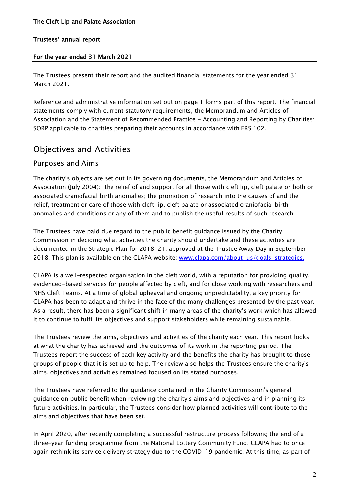# For the year ended 31 March 2021

The Trustees present their report and the audited financial statements for the year ended 31 March 2021.

Reference and administrative information set out on page 1 forms part of this report. The financial statements comply with current statutory requirements, the Memorandum and Articles of Association and the Statement of Recommended Practice - Accounting and Reporting by Charities: SORP applicable to charities preparing their accounts in accordance with FRS 102.

# Objectives and Activities

# Purposes and Aims

The charity's objects are set out in its governing documents, the Memorandum and Articles of Association (July 2004): "the relief of and support for all those with cleft lip, cleft palate or both or associated craniofacial birth anomalies; the promotion of research into the causes of and the relief, treatment or care of those with cleft lip, cleft palate or associated craniofacial birth anomalies and conditions or any of them and to publish the useful results of such research."

The Trustees have paid due regard to the public benefit guidance issued by the Charity Commission in deciding what activities the charity should undertake and these activities are documented in the Strategic Plan for 2018-21, approved at the Trustee Away Day in September 2018. This plan is available on the CLAPA website: [www.clapa.com/about-us/goals-strategies.](http://www.clapa.com/about-us/goals-strategies)

CLAPA is a well-respected organisation in the cleft world, with a reputation for providing quality, evidenced-based services for people affected by cleft, and for close working with researchers and NHS Cleft Teams. At a time of global upheaval and ongoing unpredictability, a key priority for CLAPA has been to adapt and thrive in the face of the many challenges presented by the past year. As a result, there has been a significant shift in many areas of the charity's work which has allowed it to continue to fulfil its objectives and support stakeholders while remaining sustainable.

The Trustees review the aims, objectives and activities of the charity each year. This report looks at what the charity has achieved and the outcomes of its work in the reporting period. The Trustees report the success of each key activity and the benefits the charity has brought to those groups of people that it is set up to help. The review also helps the Trustees ensure the charity's aims, objectives and activities remained focused on its stated purposes.

The Trustees have referred to the guidance contained in the Charity Commission's general guidance on public benefit when reviewing the charity's aims and objectives and in planning its future activities. In particular, the Trustees consider how planned activities will contribute to the aims and objectives that have been set.

In April 2020, after recently completing a successful restructure process following the end of a three-year funding programme from the National Lottery Community Fund, CLAPA had to once again rethink its service delivery strategy due to the COVID-19 pandemic. At this time, as part of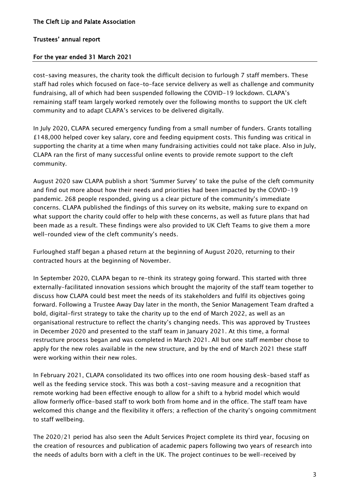# For the year ended 31 March 2021

cost-saving measures, the charity took the difficult decision to furlough 7 staff members. These staff had roles which focused on face-to-face service delivery as well as challenge and community fundraising, all of which had been suspended following the COVID-19 lockdown. CLAPA's remaining staff team largely worked remotely over the following months to support the UK cleft community and to adapt CLAPA's services to be delivered digitally.

In July 2020, CLAPA secured emergency funding from a small number of funders. Grants totalling £148,000 helped cover key salary, core and feeding equipment costs. This funding was critical in supporting the charity at a time when many fundraising activities could not take place. Also in July, CLAPA ran the first of many successful online events to provide remote support to the cleft community.

August 2020 saw CLAPA publish a short 'Summer Survey' to take the pulse of the cleft community and find out more about how their needs and priorities had been impacted by the COVID-19 pandemic. 268 people responded, giving us a clear picture of the community's immediate concerns. CLAPA published the findings of this survey on its website, making sure to expand on what support the charity could offer to help with these concerns, as well as future plans that had been made as a result. These findings were also provided to UK Cleft Teams to give them a more well-rounded view of the cleft community's needs.

Furloughed staff began a phased return at the beginning of August 2020, returning to their contracted hours at the beginning of November.

In September 2020, CLAPA began to re-think its strategy going forward. This started with three externally-facilitated innovation sessions which brought the majority of the staff team together to discuss how CLAPA could best meet the needs of its stakeholders and fulfil its objectives going forward. Following a Trustee Away Day later in the month, the Senior Management Team drafted a bold, digital-first strategy to take the charity up to the end of March 2022, as well as an organisational restructure to reflect the charity's changing needs. This was approved by Trustees in December 2020 and presented to the staff team in January 2021. At this time, a formal restructure process began and was completed in March 2021. All but one staff member chose to apply for the new roles available in the new structure, and by the end of March 2021 these staff were working within their new roles.

In February 2021, CLAPA consolidated its two offices into one room housing desk-based staff as well as the feeding service stock. This was both a cost-saving measure and a recognition that remote working had been effective enough to allow for a shift to a hybrid model which would allow formerly office-based staff to work both from home and in the office. The staff team have welcomed this change and the flexibility it offers; a reflection of the charity's ongoing commitment to staff wellbeing.

The 2020/21 period has also seen the Adult Services Project complete its third year, focusing on the creation of resources and publication of academic papers following two years of research into the needs of adults born with a cleft in the UK. The project continues to be well-received by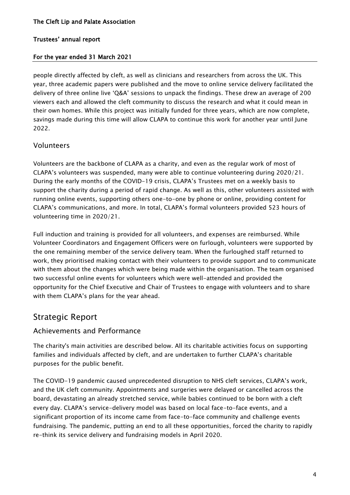# For the year ended 31 March 2021

people directly affected by cleft, as well as clinicians and researchers from across the UK. This year, three academic papers were published and the move to online service delivery facilitated the delivery of three online live 'Q&A' sessions to unpack the findings. These drew an average of 200 viewers each and allowed the cleft community to discuss the research and what it could mean in their own homes. While this project was initially funded for three years, which are now complete, savings made during this time will allow CLAPA to continue this work for another year until June 2022.

# Volunteers

Volunteers are the backbone of CLAPA as a charity, and even as the regular work of most of CLAPA's volunteers was suspended, many were able to continue volunteering during 2020/21. During the early months of the COVID-19 crisis, CLAPA's Trustees met on a weekly basis to support the charity during a period of rapid change. As well as this, other volunteers assisted with running online events, supporting others one-to-one by phone or online, providing content for CLAPA's communications, and more. In total, CLAPA's formal volunteers provided 523 hours of volunteering time in 2020/21.

Full induction and training is provided for all volunteers, and expenses are reimbursed. While Volunteer Coordinators and Engagement Officers were on furlough, volunteers were supported by the one remaining member of the service delivery team. When the furloughed staff returned to work, they prioritised making contact with their volunteers to provide support and to communicate with them about the changes which were being made within the organisation. The team organised two successful online events for volunteers which were well-attended and provided the opportunity for the Chief Executive and Chair of Trustees to engage with volunteers and to share with them CLAPA's plans for the year ahead.

# Strategic Report

# Achievements and Performance

The charity's main activities are described below. All its charitable activities focus on supporting families and individuals affected by cleft, and are undertaken to further CLAPA's charitable purposes for the public benefit.

The COVID-19 pandemic caused unprecedented disruption to NHS cleft services, CLAPA's work, and the UK cleft community. Appointments and surgeries were delayed or cancelled across the board, devastating an already stretched service, while babies continued to be born with a cleft every day. CLAPA's service-delivery model was based on local face-to-face events, and a significant proportion of its income came from face-to-face community and challenge events fundraising. The pandemic, putting an end to all these opportunities, forced the charity to rapidly re-think its service delivery and fundraising models in April 2020.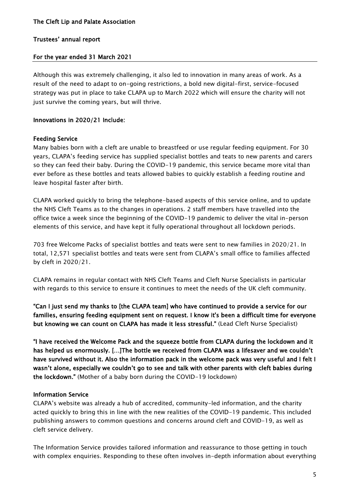# For the year ended 31 March 2021

Although this was extremely challenging, it also led to innovation in many areas of work. As a result of the need to adapt to on-going restrictions, a bold new digital-first, service-focused strategy was put in place to take CLAPA up to March 2022 which will ensure the charity will not just survive the coming years, but will thrive.

# Innovations in 2020/21 Include:

# Feeding Service

Many babies born with a cleft are unable to breastfeed or use regular feeding equipment. For 30 years, CLAPA's feeding service has supplied specialist bottles and teats to new parents and carers so they can feed their baby. During the COVID-19 pandemic, this service became more vital than ever before as these bottles and teats allowed babies to quickly establish a feeding routine and leave hospital faster after birth.

CLAPA worked quickly to bring the telephone-based aspects of this service online, and to update the NHS Cleft Teams as to the changes in operations. 2 staff members have travelled into the office twice a week since the beginning of the COVID-19 pandemic to deliver the vital in-person elements of this service, and have kept it fully operational throughout all lockdown periods.

703 free Welcome Packs of specialist bottles and teats were sent to new families in 2020/21. In total, 12,571 specialist bottles and teats were sent from CLAPA's small office to families affected by cleft in 2020/21.

CLAPA remains in regular contact with NHS Cleft Teams and Cleft Nurse Specialists in particular with regards to this service to ensure it continues to meet the needs of the UK cleft community.

"Can I just send my thanks to [the CLAPA team] who have continued to provide a service for our families, ensuring feeding equipment sent on request. I know it's been a difficult time for everyone but knowing we can count on CLAPA has made it less stressful." (Lead Cleft Nurse Specialist)

"I have received the Welcome Pack and the squeeze bottle from CLAPA during the lockdown and it has helped us enormously. […]The bottle we received from CLAPA was a lifesaver and we couldn't have survived without it. Also the information pack in the welcome pack was very useful and I felt I wasn't alone, especially we couldn't go to see and talk with other parents with cleft babies during the lockdown." (Mother of a baby born during the COVID-19 lockdown)

### Information Service

CLAPA's website was already a hub of accredited, community-led information, and the charity acted quickly to bring this in line with the new realities of the COVID-19 pandemic. This included publishing answers to common questions and concerns around cleft and COVID-19, as well as cleft service delivery.

The Information Service provides tailored information and reassurance to those getting in touch with complex enquiries. Responding to these often involves in-depth information about everything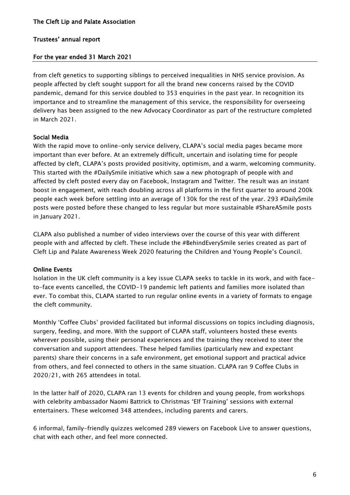#### For the year ended 31 March 2021

from cleft genetics to supporting siblings to perceived inequalities in NHS service provision. As people affected by cleft sought support for all the brand new concerns raised by the COVID pandemic, demand for this service doubled to 353 enquiries in the past year. In recognition its importance and to streamline the management of this service, the responsibility for overseeing delivery has been assigned to the new Advocacy Coordinator as part of the restructure completed in March 2021.

#### Social Media

With the rapid move to online-only service delivery, CLAPA's social media pages became more important than ever before. At an extremely difficult, uncertain and isolating time for people affected by cleft, CLAPA's posts provided positivity, optimism, and a warm, welcoming community. This started with the #DailySmile initiative which saw a new photograph of people with and affected by cleft posted every day on Facebook, Instagram and Twitter. The result was an instant boost in engagement, with reach doubling across all platforms in the first quarter to around 200k people each week before settling into an average of 130k for the rest of the year. 293 #DailySmile posts were posted before these changed to less regular but more sustainable #ShareASmile posts in January 2021.

CLAPA also published a number of video interviews over the course of this year with different people with and affected by cleft. These include the #BehindEverySmile series created as part of Cleft Lip and Palate Awareness Week 2020 featuring the Children and Young People's Council.

#### Online Events

Isolation in the UK cleft community is a key issue CLAPA seeks to tackle in its work, and with faceto-face events cancelled, the COVID-19 pandemic left patients and families more isolated than ever. To combat this, CLAPA started to run regular online events in a variety of formats to engage the cleft community.

Monthly 'Coffee Clubs' provided facilitated but informal discussions on topics including diagnosis, surgery, feeding, and more. With the support of CLAPA staff, volunteers hosted these events wherever possible, using their personal experiences and the training they received to steer the conversation and support attendees. These helped families (particularly new and expectant parents) share their concerns in a safe environment, get emotional support and practical advice from others, and feel connected to others in the same situation. CLAPA ran 9 Coffee Clubs in 2020/21, with 265 attendees in total.

In the latter half of 2020, CLAPA ran 13 events for children and young people, from workshops with celebrity ambassador Naomi Battrick to Christmas 'Elf Training' sessions with external entertainers. These welcomed 348 attendees, including parents and carers.

6 informal, family-friendly quizzes welcomed 289 viewers on Facebook Live to answer questions, chat with each other, and feel more connected.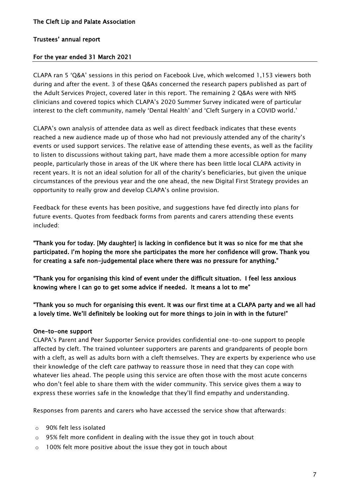### For the year ended 31 March 2021

CLAPA ran 5 'Q&A' sessions in this period on Facebook Live, which welcomed 1,153 viewers both during and after the event. 3 of these Q&As concerned the research papers published as part of the Adult Services Project, covered later in this report. The remaining 2 Q&As were with NHS clinicians and covered topics which CLAPA's 2020 Summer Survey indicated were of particular interest to the cleft community, namely 'Dental Health' and 'Cleft Surgery in a COVID world.'

CLAPA's own analysis of attendee data as well as direct feedback indicates that these events reached a new audience made up of those who had not previously attended any of the charity's events or used support services. The relative ease of attending these events, as well as the facility to listen to discussions without taking part, have made them a more accessible option for many people, particularly those in areas of the UK where there has been little local CLAPA activity in recent years. It is not an ideal solution for all of the charity's beneficiaries, but given the unique circumstances of the previous year and the one ahead, the new Digital First Strategy provides an opportunity to really grow and develop CLAPA's online provision.

Feedback for these events has been positive, and suggestions have fed directly into plans for future events. Quotes from feedback forms from parents and carers attending these events included:

"Thank you for today. [My daughter] is lacking in confidence but it was so nice for me that she participated. I'm hoping the more she participates the more her confidence will grow. Thank you for creating a safe non-judgemental place where there was no pressure for anything."

"Thank you for organising this kind of event under the difficult situation. I feel less anxious knowing where I can go to get some advice if needed. It means a lot to me"

"Thank you so much for organising this event. It was our first time at a CLAPA party and we all had a lovely time. We'll definitely be looking out for more things to join in with in the future!"

### One-to-one support

CLAPA's Parent and Peer Supporter Service provides confidential one-to-one support to people affected by cleft. The trained volunteer supporters are parents and grandparents of people born with a cleft, as well as adults born with a cleft themselves. They are experts by experience who use their knowledge of the cleft care pathway to reassure those in need that they can cope with whatever lies ahead. The people using this service are often those with the most acute concerns who don't feel able to share them with the wider community. This service gives them a way to express these worries safe in the knowledge that they'll find empathy and understanding.

Responses from parents and carers who have accessed the service show that afterwards:

- o 90% felt less isolated
- o 95% felt more confident in dealing with the issue they got in touch about
- o 100% felt more positive about the issue they got in touch about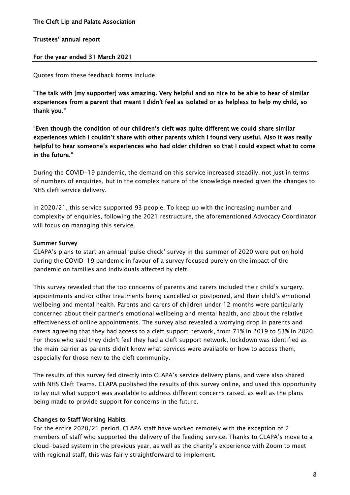### Trustees' annual report

### For the year ended 31 March 2021

Quotes from these feedback forms include:

"The talk with [my supporter] was amazing. Very helpful and so nice to be able to hear of similar experiences from a parent that meant I didn't feel as isolated or as helpless to help my child, so thank you."

"Even though the condition of our children's cleft was quite different we could share similar experiences which I couldn't share with other parents which I found very useful. Also it was really helpful to hear someone's experiences who had older children so that I could expect what to come in the future."

During the COVID-19 pandemic, the demand on this service increased steadily, not just in terms of numbers of enquiries, but in the complex nature of the knowledge needed given the changes to NHS cleft service delivery.

In 2020/21, this service supported 93 people. To keep up with the increasing number and complexity of enquiries, following the 2021 restructure, the aforementioned Advocacy Coordinator will focus on managing this service.

### Summer Survey

CLAPA's plans to start an annual 'pulse check' survey in the summer of 2020 were put on hold during the COVID-19 pandemic in favour of a survey focused purely on the impact of the pandemic on families and individuals affected by cleft.

This survey revealed that the top concerns of parents and carers included their child's surgery, appointments and/or other treatments being cancelled or postponed, and their child's emotional wellbeing and mental health. Parents and carers of children under 12 months were particularly concerned about their partner's emotional wellbeing and mental health, and about the relative effectiveness of online appointments. The survey also revealed a worrying drop in parents and carers agreeing that they had access to a cleft support network, from 71% in 2019 to 53% in 2020. For those who said they didn't feel they had a cleft support network, lockdown was identified as the main barrier as parents didn't know what services were available or how to access them, especially for those new to the cleft community.

The results of this survey fed directly into CLAPA's service delivery plans, and were also shared with NHS Cleft Teams. CLAPA published the results of this survey online, and used this opportunity to lay out what support was available to address different concerns raised, as well as the plans being made to provide support for concerns in the future.

### Changes to Staff Working Habits

For the entire 2020/21 period, CLAPA staff have worked remotely with the exception of 2 members of staff who supported the delivery of the feeding service. Thanks to CLAPA's move to a cloud-based system in the previous year, as well as the charity's experience with Zoom to meet with regional staff, this was fairly straightforward to implement.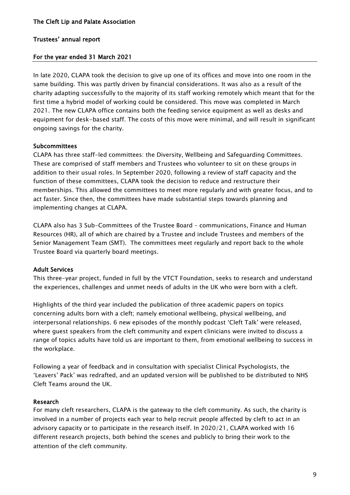### For the year ended 31 March 2021

In late 2020, CLAPA took the decision to give up one of its offices and move into one room in the same building. This was partly driven by financial considerations. It was also as a result of the charity adapting successfully to the majority of its staff working remotely which meant that for the first time a hybrid model of working could be considered. This move was completed in March 2021. The new CLAPA office contains both the feeding service equipment as well as desks and equipment for desk-based staff. The costs of this move were minimal, and will result in significant ongoing savings for the charity.

#### **Subcommittees**

CLAPA has three staff-led committees: the Diversity, Wellbeing and Safeguarding Committees. These are comprised of staff members and Trustees who volunteer to sit on these groups in addition to their usual roles. In September 2020, following a review of staff capacity and the function of these committees, CLAPA took the decision to reduce and restructure their memberships. This allowed the committees to meet more regularly and with greater focus, and to act faster. Since then, the committees have made substantial steps towards planning and implementing changes at CLAPA.

CLAPA also has 3 Sub-Committees of the Trustee Board – communications, Finance and Human Resources (HR), all of which are chaired by a Trustee and include Trustees and members of the Senior Management Team (SMT). The committees meet regularly and report back to the whole Trustee Board via quarterly board meetings.

### Adult Services

This three-year project, funded in full by the VTCT Foundation, seeks to research and understand the experiences, challenges and unmet needs of adults in the UK who were born with a cleft.

Highlights of the third year included the publication of three academic papers on topics concerning adults born with a cleft; namely emotional wellbeing, physical wellbeing, and interpersonal relationships. 6 new episodes of the monthly podcast 'Cleft Talk' were released, where guest speakers from the cleft community and expert clinicians were invited to discuss a range of topics adults have told us are important to them, from emotional wellbeing to success in the workplace.

Following a year of feedback and in consultation with specialist Clinical Psychologists, the 'Leavers' Pack' was redrafted, and an updated version will be published to be distributed to NHS Cleft Teams around the UK.

#### Research

For many cleft researchers, CLAPA is the gateway to the cleft community. As such, the charity is involved in a number of projects each year to help recruit people affected by cleft to act in an advisory capacity or to participate in the research itself. In 2020/21, CLAPA worked with 16 different research projects, both behind the scenes and publicly to bring their work to the attention of the cleft community.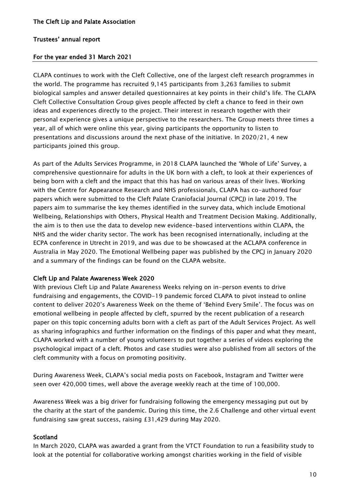#### For the year ended 31 March 2021

CLAPA continues to work with the Cleft Collective, one of the largest cleft research programmes in the world. The programme has recruited 9,145 participants from 3,263 families to submit biological samples and answer detailed questionnaires at key points in their child's life. The CLAPA Cleft Collective Consultation Group gives people affected by cleft a chance to feed in their own ideas and experiences directly to the project. Their interest in research together with their personal experience gives a unique perspective to the researchers. The Group meets three times a year, all of which were online this year, giving participants the opportunity to listen to presentations and discussions around the next phase of the initiative. In 2020/21, 4 new participants joined this group.

As part of the Adults Services Programme, in 2018 CLAPA launched the 'Whole of Life' Survey, a comprehensive questionnaire for adults in the UK born with a cleft, to look at their experiences of being born with a cleft and the impact that this has had on various areas of their lives. Working with the Centre for Appearance Research and NHS professionals, CLAPA has co-authored four papers which were submitted to the Cleft Palate Craniofacial Journal (CPCJ) in late 2019. The papers aim to summarise the key themes identified in the survey data, which include Emotional Wellbeing, Relationships with Others, Physical Health and Treatment Decision Making. Additionally, the aim is to then use the data to develop new evidence-based interventions within CLAPA, the NHS and the wider charity sector. The work has been recognised internationally, including at the ECPA conference in Utrecht in 2019, and was due to be showcased at the ACLAPA conference in Australia in May 2020. The Emotional Wellbeing paper was published by the CPCJ in January 2020 and a summary of the findings can be found on the CLAPA [website.](https://www.clapa.com/news-item/research-summary-emotional-wellbeing-in-adults-born-with-a-cleft/)

### Cleft Lip and Palate Awareness Week 2020

With previous Cleft Lip and Palate Awareness Weeks relying on in-person events to drive fundraising and engagements, the COVID-19 pandemic forced CLAPA to pivot instead to online content to deliver 2020's Awareness Week on the theme of 'Behind Every Smile'. The focus was on emotional wellbeing in people affected by cleft, spurred by the recent publication of a research paper on this topic concerning adults born with a cleft as part of the Adult Services Project. As well as sharing infographics and further information on the findings of this paper and what they meant, CLAPA worked with a number of young volunteers to put together a series of videos exploring the psychological impact of a cleft. Photos and case studies were also published from all sectors of the cleft community with a focus on promoting positivity.

During Awareness Week, CLAPA's social media posts on Facebook, Instagram and Twitter were seen over 420,000 times, well above the average weekly reach at the time of 100,000.

Awareness Week was a big driver for fundraising following the emergency messaging put out by the charity at the start of the pandemic. During this time, the 2.6 Challenge and other virtual event fundraising saw great success, raising £31,429 during May 2020.

#### Scotland

In March 2020, CLAPA was awarded a grant from the VTCT Foundation to run a feasibility study to look at the potential for collaborative working amongst charities working in the field of visible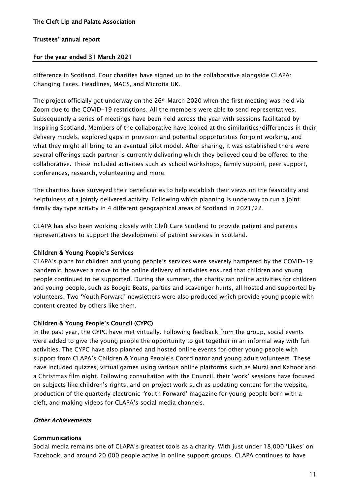### For the year ended 31 March 2021

difference in Scotland. Four charities have signed up to the collaborative alongside CLAPA: Changing Faces, Headlines, MACS, and Microtia UK.

The project officially got underway on the  $26<sup>th</sup>$  March 2020 when the first meeting was held via Zoom due to the COVID-19 restrictions. All the members were able to send representatives. Subsequently a series of meetings have been held across the year with sessions facilitated by Inspiring Scotland. Members of the collaborative have looked at the similarities/differences in their delivery models, explored gaps in provision and potential opportunities for joint working, and what they might all bring to an eventual pilot model. After sharing, it was established there were several offerings each partner is currently delivering which they believed could be offered to the collaborative. These included activities such as school workshops, family support, peer support, conferences, research, volunteering and more.

The charities have surveyed their beneficiaries to help establish their views on the feasibility and helpfulness of a jointly delivered activity. Following which planning is underway to run a joint family day type activity in 4 different geographical areas of Scotland in 2021/22.

CLAPA has also been working closely with Cleft Care Scotland to provide patient and parents representatives to support the development of patient services in Scotland.

### Children & Young People's Services

CLAPA's plans for children and young people's services were severely hampered by the COVID-19 pandemic, however a move to the online delivery of activities ensured that children and young people continued to be supported. During the summer, the charity ran online activities for children and young people, such as Boogie Beats, parties and scavenger hunts, all hosted and supported by volunteers. Two 'Youth Forward' newsletters were also produced which provide young people with content created by others like them.

# Children & Young People's Council (CYPC)

In the past year, the CYPC have met virtually. Following feedback from the group, social events were added to give the young people the opportunity to get together in an informal way with fun activities. The CYPC have also planned and hosted online events for other young people with support from CLAPA's Children & Young People's Coordinator and young adult volunteers. These have included quizzes, virtual games using various online platforms such as Mural and Kahoot and a Christmas film night. Following consultation with the Council, their 'work' sessions have focused on subjects like children's rights, and on project work such as updating content for the website, production of the quarterly electronic 'Youth Forward' magazine for young people born with a cleft, and making videos for CLAPA's social media channels.

# **Other Achievements**

### Communications

Social media remains one of CLAPA's greatest tools as a charity. With just under 18,000 'Likes' on Facebook, and around 20,000 people active in online support groups, CLAPA continues to have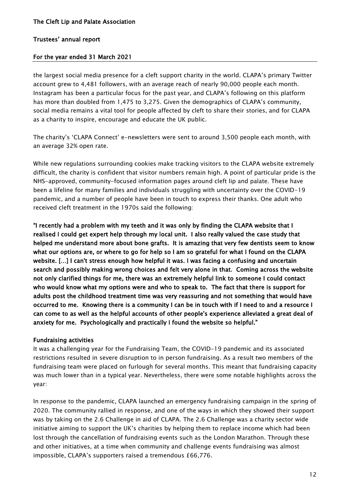#### For the year ended 31 March 2021

the largest social media presence for a cleft support charity in the world. CLAPA's primary Twitter account grew to 4,481 followers, with an average reach of nearly 90,000 people each month. Instagram has been a particular focus for the past year, and CLAPA's following on this platform has more than doubled from 1,475 to 3,275. Given the demographics of CLAPA's community, social media remains a vital tool for people affected by cleft to share their stories, and for CLAPA as a charity to inspire, encourage and educate the UK public.

The charity's 'CLAPA Connect' e-newsletters were sent to around 3,500 people each month, with an average 32% open rate.

While new regulations surrounding cookies make tracking visitors to the CLAPA website extremely difficult, the charity is confident that visitor numbers remain high. A point of particular pride is the NHS-approved, community-focused information pages around cleft lip and palate. These have been a lifeline for many families and individuals struggling with uncertainty over the COVID-19 pandemic, and a number of people have been in touch to express their thanks. One adult who received cleft treatment in the 1970s said the following:

"I recently had a problem with my teeth and it was only by finding the CLAPA website that I realised I could get expert help through my local unit. I also really valued the case study that helped me understand more about bone grafts. It is amazing that very few dentists seem to know what our options are, or where to go for help so I am so grateful for what I found on the CLAPA website. […] I can't stress enough how helpful it was. I was facing a confusing and uncertain search and possibly making wrong choices and felt very alone in that. Coming across the website not only clarified things for me, there was an extremely helpful link to someone I could contact who would know what my options were and who to speak to. The fact that there is support for adults post the childhood treatment time was very reassuring and not something that would have occurred to me. Knowing there is a community I can be in touch with if I need to and a resource I can come to as well as the helpful accounts of other people's experience alleviated a great deal of anxiety for me. Psychologically and practically I found the website so helpful."

#### Fundraising activities

It was a challenging year for the Fundraising Team, the COVID-19 pandemic and its associated restrictions resulted in severe disruption to in person fundraising. As a result two members of the fundraising team were placed on furlough for several months. This meant that fundraising capacity was much lower than in a typical year. Nevertheless, there were some notable highlights across the year:

In response to the pandemic, CLAPA launched an emergency fundraising campaign in the spring of 2020. The community rallied in response, and one of the ways in which they showed their support was by taking on the 2.6 Challenge in aid of CLAPA. The 2.6 Challenge was a charity sector wide initiative aiming to support the UK's charities by helping them to replace income which had been lost through the cancellation of fundraising events such as the London Marathon. Through these and other initiatives, at a time when community and challenge events fundraising was almost impossible, CLAPA's supporters raised a tremendous £66,776.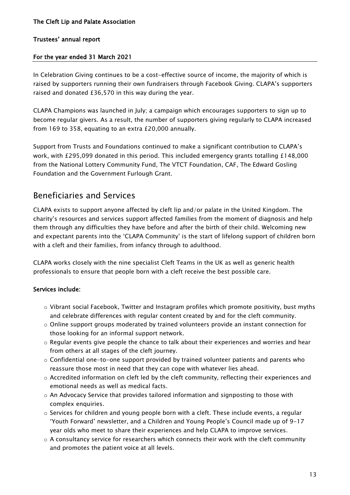# For the year ended 31 March 2021

In Celebration Giving continues to be a cost-effective source of income, the majority of which is raised by supporters running their own fundraisers through Facebook Giving. CLAPA's supporters raised and donated £36,570 in this way during the year.

CLAPA Champions was launched in July; a campaign which encourages supporters to sign up to become regular givers. As a result, the number of supporters giving regularly to CLAPA increased from 169 to 358, equating to an extra £20,000 annually.

Support from Trusts and Foundations continued to make a significant contribution to CLAPA's work, with £295,099 donated in this period. This included emergency grants totalling £148,000 from the National Lottery Community Fund, The VTCT Foundation, CAF, The Edward Gosling Foundation and the Government Furlough Grant.

# Beneficiaries and Services

CLAPA exists to support anyone affected by cleft lip and/or palate in the United Kingdom. The charity's resources and services support affected families from the moment of diagnosis and help them through any difficulties they have before and after the birth of their child. Welcoming new and expectant parents into the 'CLAPA Community' is the start of lifelong support of children born with a cleft and their families, from infancy through to adulthood.

CLAPA works closely with the nine specialist Cleft Teams in the UK as well as generic health professionals to ensure that people born with a cleft receive the best possible care.

# Services include:

- $\circ$  Vibrant social Facebook, Twitter and Instagram profiles which promote positivity, bust myths and celebrate differences with regular content created by and for the cleft community.
- $\circ$  Online support groups moderated by trained volunteers provide an instant connection for those looking for an informal support network.
- o Regular events give people the chance to talk about their experiences and worries and hear from others at all stages of the cleft journey.
- $\circ$  Confidential one-to-one support provided by trained volunteer patients and parents who reassure those most in need that they can cope with whatever lies ahead.
- $\circ$  Accredited information on cleft led by the cleft community, reflecting their experiences and emotional needs as well as medical facts.
- o An Advocacy Service that provides tailored information and signposting to those with complex enquiries.
- $\circ$  Services for children and young people born with a cleft. These include events, a regular 'Youth Forward' newsletter, and a Children and Young People's Council made up of 9-17 year olds who meet to share their experiences and help CLAPA to improve services.
- $\circ$  A consultancy service for researchers which connects their work with the cleft community and promotes the patient voice at all levels.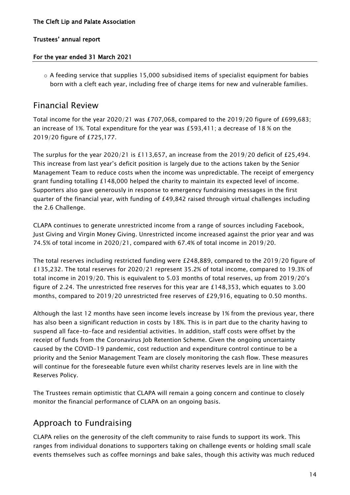### For the year ended 31 March 2021

 $\circ$  A feeding service that supplies 15,000 subsidised items of specialist equipment for babies born with a cleft each year, including free of charge items for new and vulnerable families.

# Financial Review

Total income for the year 2020/21 was £707,068, compared to the 2019/20 figure of £699,683; an increase of 1%. Total expenditure for the year was £593,411; a decrease of 18 % on the 2019/20 figure of £725,177.

The surplus for the year 2020/21 is £113,657, an increase from the 2019/20 deficit of £25,494. This increase from last year's deficit position is largely due to the actions taken by the Senior Management Team to reduce costs when the income was unpredictable. The receipt of emergency grant funding totalling £148,000 helped the charity to maintain its expected level of income. Supporters also gave generously in response to emergency fundraising messages in the first quarter of the financial year, with funding of £49,842 raised through virtual challenges including the 2.6 Challenge.

CLAPA continues to generate unrestricted income from a range of sources including Facebook, Just Giving and Virgin Money Giving. Unrestricted income increased against the prior year and was 74.5% of total income in 2020/21, compared with 67.4% of total income in 2019/20.

The total reserves including restricted funding were £248,889, compared to the 2019/20 figure of £135,232. The total reserves for 2020/21 represent 35.2% of total income, compared to 19.3% of total income in 2019/20. This is equivalent to 5.03 months of total reserves, up from 2019/20's figure of 2.24. The unrestricted free reserves for this year are £148,353, which equates to 3.00 months, compared to 2019/20 unrestricted free reserves of £29,916, equating to 0.50 months.

Although the last 12 months have seen income levels increase by 1% from the previous year, there has also been a significant reduction in costs by 18%. This is in part due to the charity having to suspend all face-to-face and residential activities. In addition, staff costs were offset by the receipt of funds from the Coronavirus Job Retention Scheme. Given the ongoing uncertainty caused by the COVID-19 pandemic, cost reduction and expenditure control continue to be a priority and the Senior Management Team are closely monitoring the cash flow. These measures will continue for the foreseeable future even whilst charity reserves levels are in line with the Reserves Policy.

The Trustees remain optimistic that CLAPA will remain a going concern and continue to closely monitor the financial performance of CLAPA on an ongoing basis.

# Approach to Fundraising

CLAPA relies on the generosity of the cleft community to raise funds to support its work. This ranges from individual donations to supporters taking on challenge events or holding small scale events themselves such as coffee mornings and bake sales, though this activity was much reduced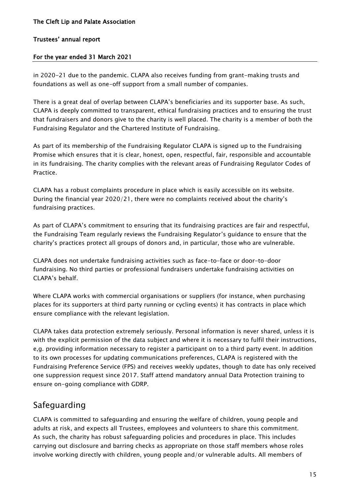# For the year ended 31 March 2021

in 2020-21 due to the pandemic. CLAPA also receives funding from grant-making trusts and foundations as well as one-off support from a small number of companies.

There is a great deal of overlap between CLAPA's beneficiaries and its supporter base. As such, CLAPA is deeply committed to transparent, ethical fundraising practices and to ensuring the trust that fundraisers and donors give to the charity is well placed. The charity is a member of both the Fundraising Regulator and the Chartered Institute of Fundraising.

As part of its membership of the Fundraising Regulator CLAPA is signed up to the Fundraising Promise which ensures that it is clear, honest, open, respectful, fair, responsible and accountable in its fundraising. The charity complies with the relevant areas of Fundraising Regulator Codes of Practice.

CLAPA has a robust complaints procedure in place which is easily accessible on its website. During the financial year 2020/21, there were no complaints received about the charity's fundraising practices.

As part of CLAPA's commitment to ensuring that its fundraising practices are fair and respectful, the Fundraising Team regularly reviews the Fundraising Regulator's guidance to ensure that the charity's practices protect all groups of donors and, in particular, those who are vulnerable.

CLAPA does not undertake fundraising activities such as face-to-face or door-to-door fundraising. No third parties or professional fundraisers undertake fundraising activities on CLAPA's behalf.

Where CLAPA works with commercial organisations or suppliers (for instance, when purchasing places for its supporters at third party running or cycling events) it has contracts in place which ensure compliance with the relevant legislation.

CLAPA takes data protection extremely seriously. Personal information is never shared, unless it is with the explicit permission of the data subject and where it is necessary to fulfil their instructions, e,g. providing information necessary to register a participant on to a third party event. In addition to its own processes for updating communications preferences, CLAPA is registered with the Fundraising Preference Service (FPS) and receives weekly updates, though to date has only received one suppression request since 2017. Staff attend mandatory annual Data Protection training to ensure on-going compliance with GDRP.

# Safeguarding

CLAPA is committed to safeguarding and ensuring the welfare of children, young people and adults at risk, and expects all Trustees, employees and volunteers to share this commitment. As such, the charity has robust safeguarding policies and procedures in place. This includes carrying out disclosure and barring checks as appropriate on those staff members whose roles involve working directly with children, young people and/or vulnerable adults. All members of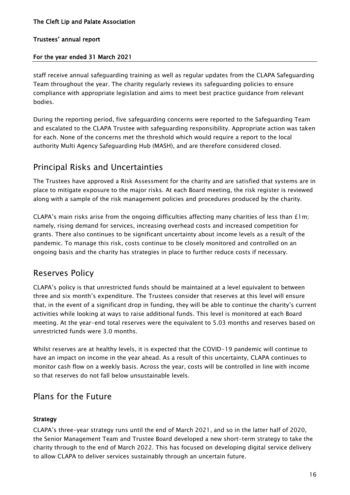# For the year ended 31 March 2021

staff receive annual safeguarding training as well as regular updates from the CLAPA Safeguarding Team throughout the year. The charity regularly reviews its safeguarding policies to ensure compliance with appropriate legislation and aims to meet best practice guidance from relevant bodies.

During the reporting period, five safeguarding concerns were reported to the Safeguarding Team and escalated to the CLAPA Trustee with safeguarding responsibility. Appropriate action was taken for each. None of the concerns met the threshold which would require a report to the local authority Multi Agency Safeguarding Hub (MASH), and are therefore considered closed.

# Principal Risks and Uncertainties

The Trustees have approved a Risk Assessment for the charity and are satisfied that systems are in place to mitigate exposure to the major risks. At each Board meeting, the risk register is reviewed along with a sample of the risk management policies and procedures produced by the charity.

CLAPA's main risks arise from the ongoing difficulties affecting many charities of less than £1m; namely, rising demand for services, increasing overhead costs and increased competition for grants. There also continues to be significant uncertainty about income levels as a result of the pandemic. To manage this risk, costs continue to be closely monitored and controlled on an ongoing basis and the charity has strategies in place to further reduce costs if necessary.

# Reserves Policy

CLAPA's policy is that unrestricted funds should be maintained at a level equivalent to between three and six month's expenditure. The Trustees consider that reserves at this level will ensure that, in the event of a significant drop in funding, they will be able to continue the charity's current activities while looking at ways to raise additional funds. This level is monitored at each Board meeting. At the year-end total reserves were the equivalent to 5.03 months and reserves based on unrestricted funds were 3.0 months.

Whilst reserves are at healthy levels, it is expected that the COVID-19 pandemic will continue to have an impact on income in the year ahead. As a result of this uncertainty, CLAPA continues to monitor cash flow on a weekly basis. Across the year, costs will be controlled in line with income so that reserves do not fall below unsustainable levels.

# Plans for the Future

# Strategy

CLAPA's three-year strategy runs until the end of March 2021, and so in the latter half of 2020, the Senior Management Team and Trustee Board developed a new short-term strategy to take the charity through to the end of March 2022. This has focused on developing digital service delivery to allow CLAPA to deliver services sustainably through an uncertain future.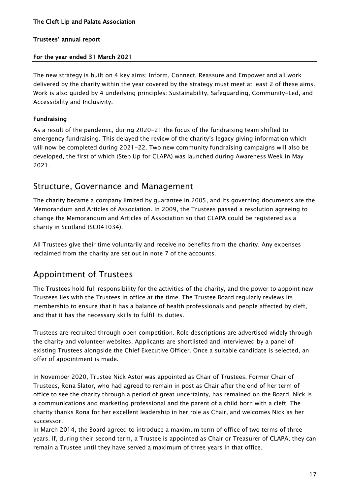# For the year ended 31 March 2021

The new strategy is built on 4 key aims: Inform, Connect, Reassure and Empower and all work delivered by the charity within the year covered by the strategy must meet at least 2 of these aims. Work is also guided by 4 underlying principles: Sustainability, Safeguarding, Community-Led, and Accessibility and Inclusivity.

# Fundraising

As a result of the pandemic, during 2020-21 the focus of the fundraising team shifted to emergency fundraising. This delayed the review of the charity's legacy giving information which will now be completed during 2021-22. Two new community fundraising campaigns will also be developed, the first of which (Step Up for CLAPA) was launched during Awareness Week in May 2021.

# Structure, Governance and Management

The charity became a company limited by guarantee in 2005, and its governing documents are the Memorandum and Articles of Association. In 2009, the Trustees passed a resolution agreeing to change the Memorandum and Articles of Association so that CLAPA could be registered as a charity in Scotland (SC041034).

All Trustees give their time voluntarily and receive no benefits from the charity. Any expenses reclaimed from the charity are set out in note 7 of the accounts.

# Appointment of Trustees

The Trustees hold full responsibility for the activities of the charity, and the power to appoint new Trustees lies with the Trustees in office at the time. The Trustee Board regularly reviews its membership to ensure that it has a balance of health professionals and people affected by cleft, and that it has the necessary skills to fulfil its duties.

Trustees are recruited through open competition. Role descriptions are advertised widely through the charity and volunteer websites. Applicants are shortlisted and interviewed by a panel of existing Trustees alongside the Chief Executive Officer. Once a suitable candidate is selected, an offer of appointment is made.

In November 2020, Trustee Nick Astor was appointed as Chair of Trustees. Former Chair of Trustees, Rona Slator, who had agreed to remain in post as Chair after the end of her term of office to see the charity through a period of great uncertainty, has remained on the Board. Nick is a communications and marketing professional and the parent of a child born with a cleft. The charity thanks Rona for her excellent leadership in her role as Chair, and welcomes Nick as her successor.

In March 2014, the Board agreed to introduce a maximum term of office of two terms of three years. If, during their second term, a Trustee is appointed as Chair or Treasurer of CLAPA, they can remain a Trustee until they have served a maximum of three years in that office.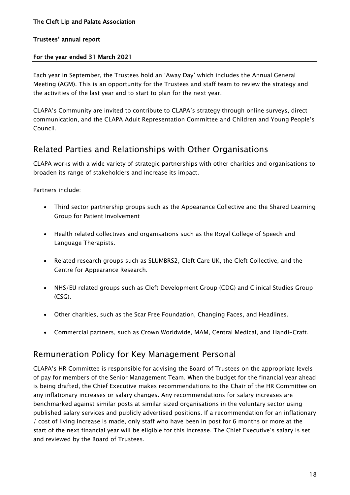### For the year ended 31 March 2021

Each year in September, the Trustees hold an 'Away Day' which includes the Annual General Meeting (AGM). This is an opportunity for the Trustees and staff team to review the strategy and the activities of the last year and to start to plan for the next year.

CLAPA's Community are invited to contribute to CLAPA's strategy through online surveys, direct communication, and the CLAPA Adult Representation Committee and Children and Young People's Council.

# Related Parties and Relationships with Other Organisations

CLAPA works with a wide variety of strategic partnerships with other charities and organisations to broaden its range of stakeholders and increase its impact.

Partners include:

- Third sector partnership groups such as the Appearance Collective and the Shared Learning Group for Patient Involvement
- Health related collectives and organisations such as the Royal College of Speech and Language Therapists.
- Related research groups such as SLUMBRS2, Cleft Care UK, the Cleft Collective, and the Centre for Appearance Research.
- NHS/EU related groups such as Cleft Development Group (CDG) and Clinical Studies Group (CSG).
- Other charities, such as the Scar Free Foundation, Changing Faces, and Headlines.
- Commercial partners, such as Crown Worldwide, MAM, Central Medical, and Handi-Craft.

# Remuneration Policy for Key Management Personal

CLAPA's HR Committee is responsible for advising the Board of Trustees on the appropriate levels of pay for members of the Senior Management Team. When the budget for the financial year ahead is being drafted, the Chief Executive makes recommendations to the Chair of the HR Committee on any inflationary increases or salary changes. Any recommendations for salary increases are benchmarked against similar posts at similar sized organisations in the voluntary sector using published salary services and publicly advertised positions. If a recommendation for an inflationary / cost of living increase is made, only staff who have been in post for 6 months or more at the start of the next financial year will be eligible for this increase. The Chief Executive's salary is set and reviewed by the Board of Trustees.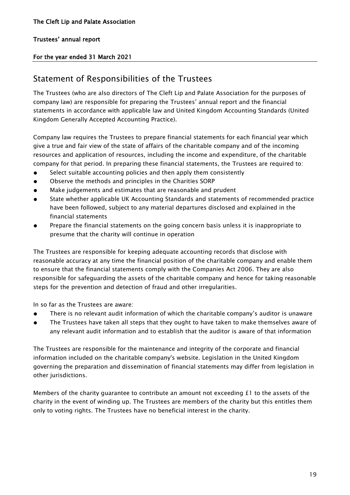### For the year ended 31 March 2021

# Statement of Responsibilities of the Trustees

The Trustees (who are also directors of The Cleft Lip and Palate Association for the purposes of company law) are responsible for preparing the Trustees' annual report and the financial statements in accordance with applicable law and United Kingdom Accounting Standards (United Kingdom Generally Accepted Accounting Practice).

Company law requires the Trustees to prepare financial statements for each financial year which give a true and fair view of the state of affairs of the charitable company and of the incoming resources and application of resources, including the income and expenditure, of the charitable company for that period. In preparing these financial statements, the Trustees are required to:

- Select suitable accounting policies and then apply them consistently
- Observe the methods and principles in the Charities SORP
- Make judgements and estimates that are reasonable and prudent
- State whether applicable UK Accounting Standards and statements of recommended practice have been followed, subject to any material departures disclosed and explained in the financial statements
- Prepare the financial statements on the going concern basis unless it is inappropriate to presume that the charity will continue in operation

The Trustees are responsible for keeping adequate accounting records that disclose with reasonable accuracy at any time the financial position of the charitable company and enable them to ensure that the financial statements comply with the Companies Act 2006. They are also responsible for safeguarding the assets of the charitable company and hence for taking reasonable steps for the prevention and detection of fraud and other irregularities.

In so far as the Trustees are aware:

- There is no relevant audit information of which the charitable company's auditor is unaware
- The Trustees have taken all steps that they ought to have taken to make themselves aware of any relevant audit information and to establish that the auditor is aware of that information

The Trustees are responsible for the maintenance and integrity of the corporate and financial information included on the charitable company's website. Legislation in the United Kingdom governing the preparation and dissemination of financial statements may differ from legislation in other jurisdictions.

Members of the charity guarantee to contribute an amount not exceeding  $f_1$  to the assets of the charity in the event of winding up. The Trustees are members of the charity but this entitles them only to voting rights. The Trustees have no beneficial interest in the charity.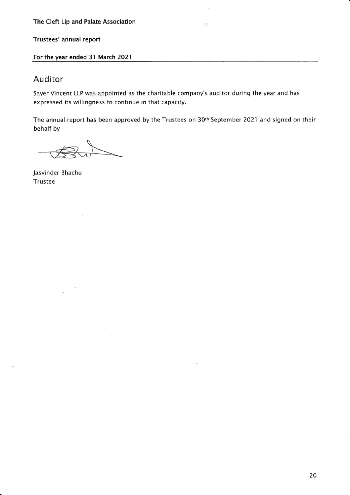Trustees' annual report

For the year ended 31 March 2021

# Auditor

Sayer Vincent LLP was appointed as the charitable company's auditor during the year and has expressed its willingness to continue in that capacity.

The annual report has been approved by the Trustees on 30<sup>th</sup> September 2021 and signed on their behalf by

Jasvinder Bhachu Trustee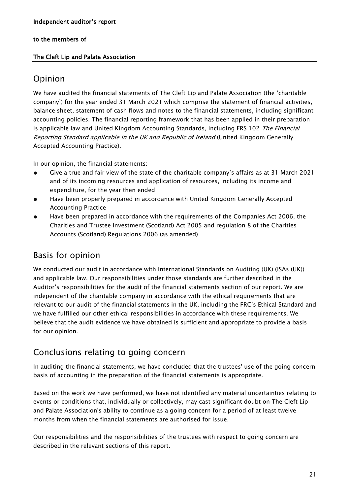# The Cleft Lip and Palate Association

# Opinion

We have audited the financial statements of The Cleft Lip and Palate Association (the 'charitable company') for the year ended 31 March 2021 which comprise the statement of financial activities, balance sheet, statement of cash flows and notes to the financial statements, including significant accounting policies. The financial reporting framework that has been applied in their preparation is applicable law and United Kingdom Accounting Standards, including FRS 102 The Financial Reporting Standard applicable in the UK and Republic of Ireland (United Kingdom Generally Accepted Accounting Practice).

In our opinion, the financial statements:

- Give a true and fair view of the state of the charitable company's affairs as at 31 March 2021 and of its incoming resources and application of resources, including its income and expenditure, for the year then ended
- Have been properly prepared in accordance with United Kingdom Generally Accepted Accounting Practice
- Have been prepared in accordance with the requirements of the Companies Act 2006, the Charities and Trustee Investment (Scotland) Act 2005 and regulation 8 of the Charities Accounts (Scotland) Regulations 2006 (as amended)

# Basis for opinion

We conducted our audit in accordance with International Standards on Auditing (UK) (ISAs (UK)) and applicable law. Our responsibilities under those standards are further described in the Auditor's responsibilities for the audit of the financial statements section of our report. We are independent of the charitable company in accordance with the ethical requirements that are relevant to our audit of the financial statements in the UK, including the FRC's Ethical Standard and we have fulfilled our other ethical responsibilities in accordance with these requirements. We believe that the audit evidence we have obtained is sufficient and appropriate to provide a basis for our opinion.

# Conclusions relating to going concern

In auditing the financial statements, we have concluded that the trustees' use of the going concern basis of accounting in the preparation of the financial statements is appropriate.

Based on the work we have performed, we have not identified any material uncertainties relating to events or conditions that, individually or collectively, may cast significant doubt on The Cleft Lip and Palate Association's ability to continue as a going concern for a period of at least twelve months from when the financial statements are authorised for issue.

Our responsibilities and the responsibilities of the trustees with respect to going concern are described in the relevant sections of this report.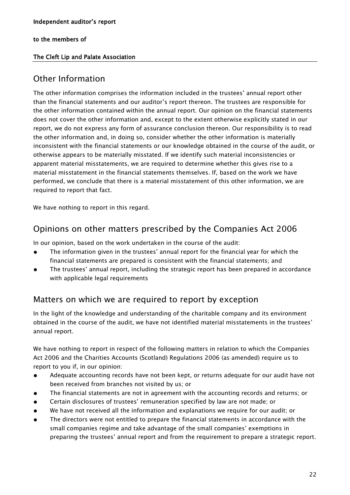# The Cleft Lip and Palate Association

# Other Information

The other information comprises the information included in the trustees' annual report other than the financial statements and our auditor's report thereon. The trustees are responsible for the other information contained within the annual report. Our opinion on the financial statements does not cover the other information and, except to the extent otherwise explicitly stated in our report, we do not express any form of assurance conclusion thereon. Our responsibility is to read the other information and, in doing so, consider whether the other information is materially inconsistent with the financial statements or our knowledge obtained in the course of the audit, or otherwise appears to be materially misstated. If we identify such material inconsistencies or apparent material misstatements, we are required to determine whether this gives rise to a material misstatement in the financial statements themselves. If, based on the work we have performed, we conclude that there is a material misstatement of this other information, we are required to report that fact.

We have nothing to report in this regard.

# Opinions on other matters prescribed by the Companies Act 2006

In our opinion, based on the work undertaken in the course of the audit:

- The information given in the trustees' annual report for the financial year for which the financial statements are prepared is consistent with the financial statements; and
- The trustees' annual report, including the strategic report has been prepared in accordance with applicable legal requirements

# Matters on which we are required to report by exception

In the light of the knowledge and understanding of the charitable company and its environment obtained in the course of the audit, we have not identified material misstatements in the trustees' annual report.

We have nothing to report in respect of the following matters in relation to which the Companies Act 2006 and the Charities Accounts (Scotland) Regulations 2006 (as amended) require us to report to you if, in our opinion:

- Adequate accounting records have not been kept, or returns adequate for our audit have not been received from branches not visited by us; or
- The financial statements are not in agreement with the accounting records and returns; or
- Certain disclosures of trustees' remuneration specified by law are not made; or
- We have not received all the information and explanations we require for our audit; or
- The directors were not entitled to prepare the financial statements in accordance with the small companies regime and take advantage of the small companies' exemptions in preparing the trustees' annual report and from the requirement to prepare a strategic report.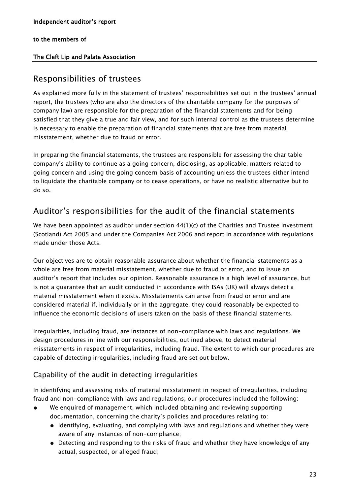# The Cleft Lip and Palate Association

# Responsibilities of trustees

As explained more fully in the statement of trustees' responsibilities set out in the trustees' annual report, the trustees (who are also the directors of the charitable company for the purposes of company law) are responsible for the preparation of the financial statements and for being satisfied that they give a true and fair view, and for such internal control as the trustees determine is necessary to enable the preparation of financial statements that are free from material misstatement, whether due to fraud or error.

In preparing the financial statements, the trustees are responsible for assessing the charitable company's ability to continue as a going concern, disclosing, as applicable, matters related to going concern and using the going concern basis of accounting unless the trustees either intend to liquidate the charitable company or to cease operations, or have no realistic alternative but to do so.

# Auditor's responsibilities for the audit of the financial statements

We have been appointed as auditor under section 44(1)(c) of the Charities and Trustee Investment (Scotland) Act 2005 and under the Companies Act 2006 and report in accordance with regulations made under those Acts.

Our objectives are to obtain reasonable assurance about whether the financial statements as a whole are free from material misstatement, whether due to fraud or error, and to issue an auditor's report that includes our opinion. Reasonable assurance is a high level of assurance, but is not a guarantee that an audit conducted in accordance with ISAs (UK) will always detect a material misstatement when it exists. Misstatements can arise from fraud or error and are considered material if, individually or in the aggregate, they could reasonably be expected to influence the economic decisions of users taken on the basis of these financial statements.

Irregularities, including fraud, are instances of non-compliance with laws and regulations. We design procedures in line with our responsibilities, outlined above, to detect material misstatements in respect of irregularities, including fraud. The extent to which our procedures are capable of detecting irregularities, including fraud are set out below.

# Capability of the audit in detecting irregularities

In identifying and assessing risks of material misstatement in respect of irregularities, including fraud and non-compliance with laws and regulations, our procedures included the following:

- We enquired of management, which included obtaining and reviewing supporting documentation, concerning the charity's policies and procedures relating to:
	- Identifying, evaluating, and complying with laws and regulations and whether they were aware of any instances of non-compliance;
	- Detecting and responding to the risks of fraud and whether they have knowledge of any actual, suspected, or alleged fraud;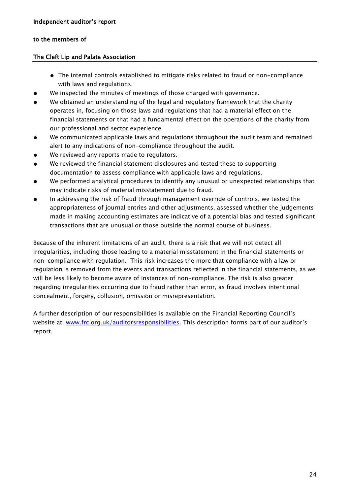### The Cleft Lip and Palate Association

- The internal controls established to mitigate risks related to fraud or non-compliance with laws and regulations.
- We inspected the minutes of meetings of those charged with governance.
- We obtained an understanding of the legal and regulatory framework that the charity operates in, focusing on those laws and regulations that had a material effect on the financial statements or that had a fundamental effect on the operations of the charity from our professional and sector experience.
- We communicated applicable laws and regulations throughout the audit team and remained alert to any indications of non-compliance throughout the audit.
- We reviewed any reports made to regulators.
- We reviewed the financial statement disclosures and tested these to supporting documentation to assess compliance with applicable laws and regulations.
- We performed analytical procedures to identify any unusual or unexpected relationships that may indicate risks of material misstatement due to fraud.
- In addressing the risk of fraud through management override of controls, we tested the appropriateness of journal entries and other adjustments, assessed whether the judgements made in making accounting estimates are indicative of a potential bias and tested significant transactions that are unusual or those outside the normal course of business.

Because of the inherent limitations of an audit, there is a risk that we will not detect all irregularities, including those leading to a material misstatement in the financial statements or non-compliance with regulation. This risk increases the more that compliance with a law or regulation is removed from the events and transactions reflected in the financial statements, as we will be less likely to become aware of instances of non-compliance. The risk is also greater regarding irregularities occurring due to fraud rather than error, as fraud involves intentional concealment, forgery, collusion, omission or misrepresentation.

A further description of our responsibilities is available on the Financial Reporting Council's website at: [www.frc.org.uk/auditorsresponsibilities](http://www.frc.org.uk/auditorsresponsibilities). This description forms part of our auditor's report.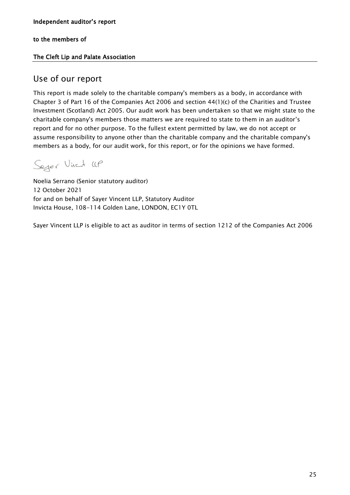# The Cleft Lip and Palate Association

# Use of our report

This report is made solely to the charitable company's members as a body, in accordance with Chapter 3 of Part 16 of the Companies Act 2006 and section  $44(1)(c)$  of the Charities and Trustee Investment (Scotland) Act 2005. Our audit work has been undertaken so that we might state to the charitable company's members those matters we are required to state to them in an auditor's report and for no other purpose. To the fullest extent permitted by law, we do not accept or assume responsibility to anyone other than the charitable company and the charitable company's members as a body, for our audit work, for this report, or for the opinions we have formed.

Seyer Virat UP

Noelia Serrano (Senior statutory auditor) 12 October 2021 for and on behalf of Sayer Vincent LLP, Statutory Auditor Invicta House, 108-114 Golden Lane, LONDON, EC1Y 0TL

Sayer Vincent LLP is eligible to act as auditor in terms of section 1212 of the Companies Act 2006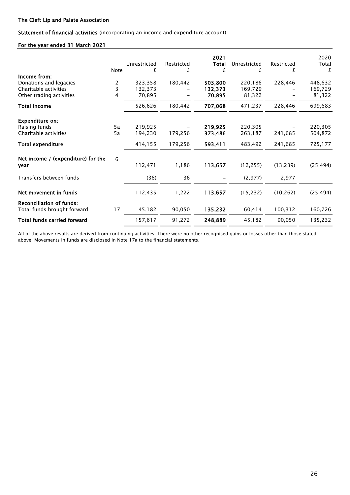Statement of financial activities (incorporating an income and expenditure account)

#### For the year ended 31 March 2021

|                                                                                             | <b>Note</b> | Unrestricted<br>£            | Restricted<br>£ | 2021<br>Total<br>£           | Unrestricted<br>£            | Restricted<br>£ | 2020<br>Total<br>£           |
|---------------------------------------------------------------------------------------------|-------------|------------------------------|-----------------|------------------------------|------------------------------|-----------------|------------------------------|
| Income from:<br>Donations and legacies<br>Charitable activities<br>Other trading activities | 2<br>3<br>4 | 323,358<br>132,373<br>70,895 | 180,442         | 503,800<br>132,373<br>70,895 | 220,186<br>169,729<br>81,322 | 228,446         | 448,632<br>169,729<br>81,322 |
| Total income                                                                                |             | 526,626                      | 180,442         | 707,068                      | 471,237                      | 228,446         | 699,683                      |
| <b>Expenditure on:</b><br>Raising funds<br>Charitable activities                            | 5a<br>5a    | 219,925<br>194,230           | 179,256         | 219,925<br>373,486           | 220,305<br>263,187           | 241,685         | 220,305<br>504,872           |
| Total expenditure                                                                           |             | 414,155                      | 179,256         | 593,411                      | 483,492                      | 241,685         | 725,177                      |
| Net income / (expenditure) for the<br>year                                                  | 6           | 112,471                      | 1,186           | 113,657                      | (12, 255)                    | (13, 239)       | (25, 494)                    |
| Transfers between funds                                                                     |             | (36)                         | 36              |                              | (2, 977)                     | 2,977           |                              |
| Net movement in funds                                                                       |             | 112,435                      | 1,222           | 113,657                      | (15, 232)                    | (10, 262)       | (25, 494)                    |
| <b>Reconciliation of funds:</b><br>Total funds brought forward                              | 17          | 45,182                       | 90,050          | 135,232                      | 60,414                       | 100,312         | 160,726                      |
| <b>Total funds carried forward</b>                                                          |             | 157,617                      | 91,272          | 248,889                      | 45,182                       | 90,050          | 135,232                      |

All of the above results are derived from continuing activities. There were no other recognised gains or losses other than those stated above. Movements in funds are disclosed in Note 17a to the financial statements.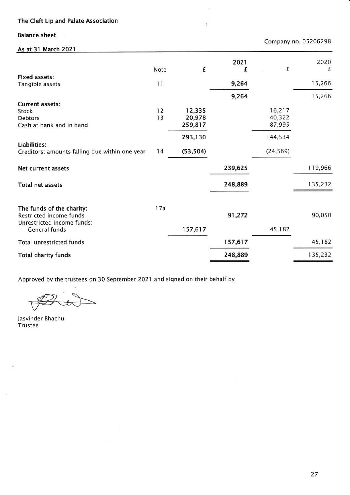**Balance sheet** 

| Company no. 05206298                                                                                |          |                             |           |                            |           |
|-----------------------------------------------------------------------------------------------------|----------|-----------------------------|-----------|----------------------------|-----------|
| As at 31 March 2021                                                                                 |          |                             |           |                            |           |
|                                                                                                     | Note     | £                           | 2021<br>£ | £                          | 2020<br>£ |
| <b>Fixed assets:</b><br>Tangible assets                                                             | 11       |                             | 9,264     |                            | 15,266    |
|                                                                                                     |          |                             | 9,264     |                            | 15,266    |
| <b>Current assets:</b><br>Stock<br><b>Debtors</b><br>Cash at bank and in hand                       | 12<br>13 | 12,335<br>20,978<br>259,817 |           | 16,217<br>40,322<br>87,995 |           |
| Liabilities:<br>Creditors: amounts falling due within one year                                      | 14       | 293,130<br>(53, 504)        |           | 144,534<br>(24, 569)       |           |
| Net current assets                                                                                  |          |                             | 239,625   |                            | 119,966   |
| <b>Total net assets</b>                                                                             |          |                             | 248,889   |                            | 135,232   |
| The funds of the charity:<br>Restricted income funds<br>Unrestricted income funds:<br>General funds | 17a      | 157,617                     | 91,272    | 45,182                     | 90,050    |
| <b>Total unrestricted funds</b>                                                                     |          |                             | 157,617   |                            | 45,182    |
| Total charity funds                                                                                 |          |                             | 248,889   |                            | 135,232   |

 $\frac{1}{2}$ 

Approved by the trustees on 30 September 2021 and signed on their behalf by

 $\overline{\phantom{0}}$ 

Jasvinder Bhachu Trustee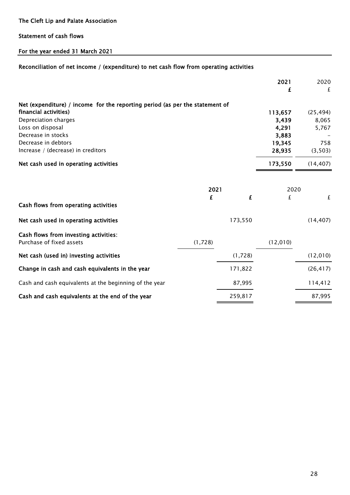# Statement of cash flows

# For the year ended 31 March 2021

# Reconciliation of net income / (expenditure) to net cash flow from operating activities

|                                                                              |         |         | 2021     | 2020      |
|------------------------------------------------------------------------------|---------|---------|----------|-----------|
|                                                                              |         |         | £        | £         |
| Net (expenditure) / income for the reporting period (as per the statement of |         |         |          |           |
| financial activities)                                                        |         |         | 113,657  | (25, 494) |
| Depreciation charges                                                         |         |         | 3,439    | 8,065     |
| Loss on disposal                                                             |         |         | 4,291    | 5,767     |
| Decrease in stocks                                                           |         |         | 3,883    |           |
| Decrease in debtors                                                          |         |         | 19,345   | 758       |
| Increase / (decrease) in creditors                                           |         |         | 28,935   | (3,503)   |
| Net cash used in operating activities                                        |         |         | 173,550  | (14, 407) |
|                                                                              |         |         |          |           |
|                                                                              | 2021    |         | 2020     |           |
|                                                                              | £       | £       | £        | £         |
| Cash flows from operating activities                                         |         |         |          |           |
| Net cash used in operating activities                                        |         | 173,550 |          | (14, 407) |
| Cash flows from investing activities:                                        |         |         |          |           |
| Purchase of fixed assets                                                     | (1,728) |         | (12,010) |           |
| Net cash (used in) investing activities                                      |         | (1,728) |          | (12,010)  |
| Change in cash and cash equivalents in the year                              |         | 171,822 |          | (26, 417) |
| Cash and cash equivalents at the beginning of the year                       |         | 87,995  |          | 114,412   |
| Cash and cash equivalents at the end of the year                             |         | 259,817 |          | 87,995    |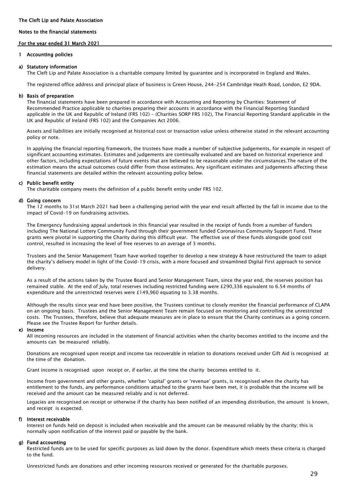#### Notes to the financial statements

#### For the year ended 31 March 2021

#### 1 Accounting policies

#### a) Statutory information

The Cleft Lip and Palate Association is a charitable company limited by guarantee and is incorporated in England and Wales.

The registered office address and principal place of business is Green House, 244-254 Cambridge Heath Road, London, E2 9DA.

#### b) Basis of preparation

The financial statements have been prepared in accordance with Accounting and Reporting by Charities: Statement of Recommended Practice applicable to charities preparing their accounts in accordance with the Financial Reporting Standard applicable in the UK and Republic of Ireland (FRS 102) - (Charities SORP FRS 102), The Financial Reporting Standard applicable in the UK and Republic of Ireland (FRS 102) and the Companies Act 2006.

Assets and liabilities are initially recognised at historical cost or transaction value unless otherwise stated in the relevant accounting policy or note.

In applying the financial reporting framework, the trustees have made a number of subjective judgements, for example in respect of significant accounting estimates. Estimates and judgements are continually evaluated and are based on historical experience and other factors, including expectations of future events that are believed to be reasonable under the circumstances.The nature of the estimation means the actual outcomes could differ from those estimates. Any significant estimates and judgements affecting these financial statements are detailed within the relevant accounting policy below.

#### c) Public benefit entity

The charitable company meets the definition of a public benefit entity under FRS 102.

#### d) Going concern

The 12 months to 31st March 2021 had been a challenging period with the year end result affected by the fall in income due to the impact of Covid-19 on fundraising activities.

The Emergency fundraising appeal undertook in this financial year resulted in the receipt of funds from a number of funders including The National Lottery Community Fund through their government funded Coronavirus Community Support Fund. These grants were pivotal in supporting the Charity during this difficult year. The effective use of these funds alongside good cost control, resulted in increasing the level of free reserves to an average of 3 months.

Trustees and the Senior Management Team have worked together to develop a new strategy & have restructured the team to adapt the charity's delivery model in light of the Covid-19 crisis, with a more focused and streamlined Digital First approach to service delivery.

As a result of the actions taken by the Trustee Board and Senior Management Team, since the year end, the reserves position has remained stable. At the end of July, total reserves including restricted funding were £290,336 equivalent to 6.54 months of expenditure and the unrestricted reserves were £149,960 equating to 3.38 months.

Although the results since year end have been positive, the Trustees continue to closely monitor the financial performance of CLAPA on an ongoing basis. Trustees and the Senior Management Team remain focused on monitoring and controlling the unrestricted costs. The Trustees, therefore, believe that adequate measures are in place to ensure that the Charity continues as a going concern. Please see the Trustee Report for further details.

#### e) Income

All incoming resources are included in the statement of financial activities when the charity becomes entitled to the income and the amounts can be measured reliably.

Donations are recognised upon receipt and income tax recoverable in relation to donations received under Gift Aid is recognised at the time of the donation.

Grant income is recognised upon receipt or, if earlier, at the time the charity becomes entitled to it.

Income from government and other grants, whether 'capital' grants or 'revenue' grants, is recognised when the charity has entitlement to the funds, any performance conditions attached to the grants have been met, it is probable that the income will be received and the amount can be measured reliably and is not deferred.

Legacies are recognised on receipt or otherwise if the charity has been notified of an impending distribution, the amount is known, and receipt is expected.

#### f) Interest receivable

Interest on funds held on deposit is included when receivable and the amount can be measured reliably by the charity; this is normally upon notification of the interest paid or payable by the bank.

#### g) Fund accounting

Restricted funds are to be used for specific purposes as laid down by the donor. Expenditure which meets these criteria is charged to the fund.

Unrestricted funds are donations and other incoming resources received or generated for the charitable purposes.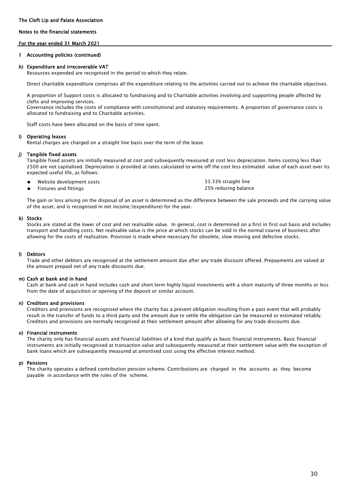#### Notes to the financial statements

#### For the year ended 31 March 2021

#### 1 Accounting policies (continued)

#### h) Expenditure and irrecoverable VAT

Resources expended are recognised in the period to which they relate.

Direct charitable expenditure comprises all the expenditure relating to the activities carried out to achieve the charitable objectives.

A proportion of Support costs is allocated to fundraising and to Charitable activities involving and supporting people affected by clefts and improving services.

Governance includes the costs of compliance with constitutional and statutory requirements. A proportion of governance costs is allocated to fundraising and to Charitable activities.

Staff costs have been allocated on the basis of time spent.

#### i) Operating leases

Rental charges are charged on a straight line basis over the term of the lease.

#### j) Tangible fixed assets

Tangible fixed assets are initially measured at cost and subsequently measured at cost less depreciation. Items costing less than £500 are not capitalised. Depreciation is provided at rates calculated to write off the cost less estimated value of each asset over its expected useful life, as follows:

- $\bullet$ 33.33% straight line Website development costs 25% reducing balance
- $\bullet$ Fixtures and fittings

The gain or loss arising on the disposal of an asset is determined as the difference between the sale proceeds and the carrying value of the asset, and is recognised in net income/(expenditure) for the year.

#### k) Stocks

Stocks are stated at the lower of cost and net realisable value. In general, cost is determined on a first in first out basis and includes transport and handling costs. Net realisable value is the price at which stocks can be sold in the normal course of business after allowing for the costs of realisation. Provision is made where necessary for obsolete, slow moving and defective stocks.

#### l) Debtors

Trade and other debtors are recognised at the settlement amount due after any trade discount offered. Prepayments are valued at the amount prepaid net of any trade discounts due.

#### m) Cash at bank and in hand

Cash at bank and cash in hand includes cash and short term highly liquid investments with a short maturity of three months or less from the date of acquisition or opening of the deposit or similar account.

#### n) Creditors and provisions

Creditors and provisions are recognised where the charity has a present obligation resulting from a past event that will probably result in the transfer of funds to a third party and the amount due to settle the obligation can be measured or estimated reliably. Creditors and provisions are normally recognised at their settlement amount after allowing for any trade discounts due.

#### o) Financial instruments

The charity only has financial assets and financial liabilities of a kind that qualify as basic financial instruments. Basic financial instruments are initially recognised at transaction value and subsequently measured at their settlement value with the exception of bank loans which are subsequently measured at amortised cost using the effective interest method.

#### p) Pensions

The charity operates a defined contribution pension scheme. Contributions are charged in the accounts as they become payable in accordance with the rules of the scheme.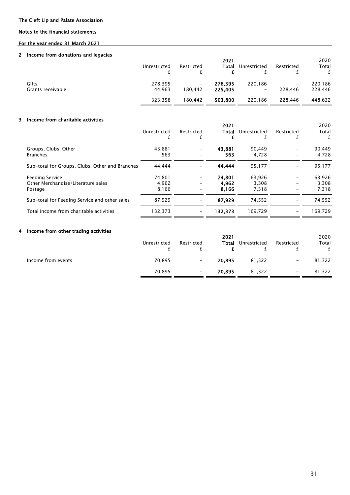#### Notes to the financial statements

#### For the year ended 31 March 2021

#### 2 Income from donations and legacies

|                            | Unrestricted      | Restricted                   | 2021<br>Total      | Unrestricted                        | Restricted                   | 2020<br>Total<br>£ |
|----------------------------|-------------------|------------------------------|--------------------|-------------------------------------|------------------------------|--------------------|
| Gifts<br>Grants receivable | 278,395<br>44.963 | $\qquad \qquad -$<br>180.442 | 278,395<br>225,405 | 220,186<br>$\overline{\phantom{m}}$ | $\qquad \qquad -$<br>228.446 | 220,186<br>228,446 |
|                            | 323.358           | 180.442                      | 503.800            | 220,186                             | 228.446                      | 448,632            |

#### 3 Income from charitable activities

|                                                 |              |            | 2021    |              |                          | 2020    |
|-------------------------------------------------|--------------|------------|---------|--------------|--------------------------|---------|
|                                                 | Unrestricted | Restricted | Total   | Unrestricted | Restricted               | Total   |
|                                                 |              |            |         |              | £                        | £       |
| Groups, Clubs, Other                            | 43,881       |            | 43.881  | 90,449       | $\overline{\phantom{m}}$ | 90.449  |
| <b>Branches</b>                                 | 563          |            | 563     | 4.728        | -                        | 4.728   |
| Sub-total for Groups, Clubs, Other and Branches | 44.444       |            | 44.444  | 95,177       | $\overline{\phantom{a}}$ | 95,177  |
| <b>Feeding Service</b>                          | 74.801       |            | 74,801  | 63.926       | $\overline{\phantom{a}}$ | 63,926  |
| Other Merchandise/Literature sales              | 4,962        |            | 4.962   | 3.308        | $\qquad \qquad$          | 3,308   |
| Postage                                         | 8,166        |            | 8.166   | 7,318        | $\overline{\phantom{m}}$ | 7,318   |
| Sub-total for Feeding Service and other sales   | 87.929       |            | 87.929  | 74.552       |                          | 74,552  |
| Total income from charitable activities         | 132,373      |            | 132.373 | 169.729      | $\overline{\phantom{0}}$ | 169.729 |

#### 4 Income from other trading activities

|                    | Unrestricted | Restricted | 2021<br>Total | Unrestricted | Restricted<br>ı          | 2020<br>Total |
|--------------------|--------------|------------|---------------|--------------|--------------------------|---------------|
| Income from events | 70,895       | $-$        | 70,895        | 81.322       | $\overline{\phantom{m}}$ | 81,322        |
|                    | 70,895       | $-$        | 70.895        | 81,322       | $\overline{\phantom{m}}$ | 81,322        |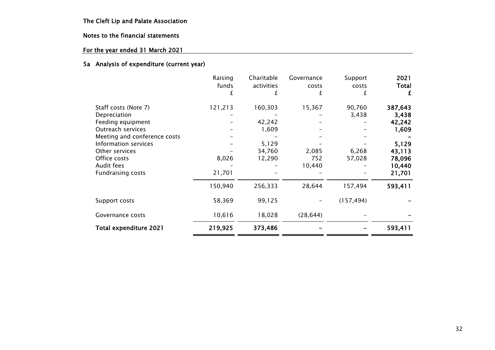# Notes to the financial statements

# For the year ended 31 March 2021

#### 5a Analysis of expenditure (current year)

|                              | Raising | Charitable | Governance | Support    | 2021         |
|------------------------------|---------|------------|------------|------------|--------------|
|                              | funds   | activities | costs      | costs      | <b>Total</b> |
|                              |         | £          |            |            | £            |
| Staff costs (Note 7)         | 121,213 | 160,303    | 15,367     | 90,760     | 387,643      |
| Depreciation                 |         |            |            | 3,438      | 3,438        |
| Feeding equipment            |         | 42,242     |            |            | 42,242       |
| Outreach services            |         | 1,609      |            |            | 1,609        |
| Meeting and conference costs |         |            |            |            |              |
| Information services         |         | 5,129      |            |            | 5,129        |
| Other services               |         | 34,760     | 2,085      | 6,268      | 43,113       |
| Office costs                 | 8,026   | 12,290     | 752        | 57,028     | 78,096       |
| Audit fees                   |         |            | 10,440     |            | 10,440       |
| <b>Fundraising costs</b>     | 21,701  |            |            |            | 21,701       |
|                              | 150,940 | 256,333    | 28,644     | 157,494    | 593,411      |
| Support costs                | 58,369  | 99,125     |            | (157, 494) |              |
| Governance costs             | 10,616  | 18,028     | (28, 644)  |            |              |
| Total expenditure 2021       | 219,925 | 373,486    |            |            | 593,411      |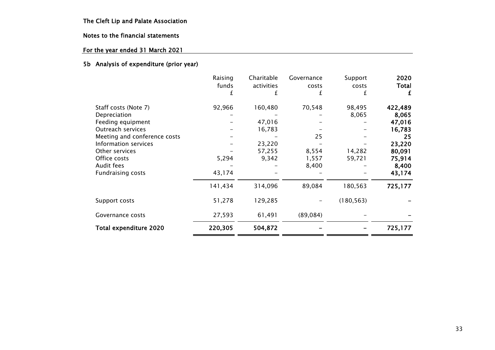# Notes to the financial statements

# For the year ended 31 March 2021

#### 5b Analysis of expenditure (prior year)

|                              | Raising | Charitable | Governance | Support    | 2020         |
|------------------------------|---------|------------|------------|------------|--------------|
|                              | funds   | activities | costs      | costs      | <b>Total</b> |
|                              |         | £          |            |            | £            |
| Staff costs (Note 7)         | 92,966  | 160,480    | 70,548     | 98,495     | 422,489      |
| Depreciation                 |         |            |            | 8,065      | 8,065        |
| Feeding equipment            |         | 47,016     |            |            | 47,016       |
| Outreach services            |         | 16,783     |            |            | 16,783       |
| Meeting and conference costs |         |            | 25         |            | 25           |
| Information services         |         | 23,220     |            |            | 23,220       |
| Other services               |         | 57,255     | 8,554      | 14,282     | 80,091       |
| Office costs                 | 5,294   | 9,342      | 1,557      | 59,721     | 75,914       |
| Audit fees                   |         |            | 8,400      |            | 8,400        |
| <b>Fundraising costs</b>     | 43,174  |            |            |            | 43,174       |
|                              | 141,434 | 314,096    | 89,084     | 180,563    | 725,177      |
| Support costs                | 51,278  | 129,285    |            | (180, 563) |              |
| Governance costs             | 27,593  | 61,491     | (89,084)   |            |              |
| Total expenditure 2020       | 220,305 | 504,872    |            |            | 725,177      |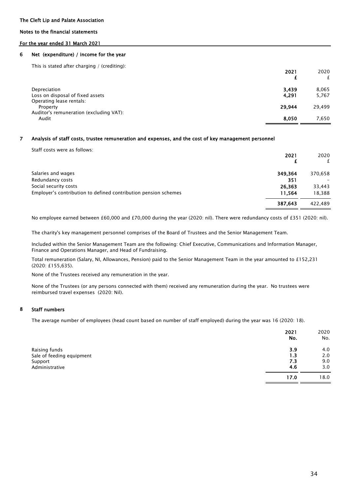#### Notes to the financial statements

#### For the year ended 31 March 2021

#### 6 Net (expenditure) / income for the year

This is stated after charging / (crediting):

|                                                  | 2021           | 2020           |
|--------------------------------------------------|----------------|----------------|
| Depreciation<br>Loss on disposal of fixed assets | 3.439<br>4,291 | 8.065<br>5,767 |
| Operating lease rentals:<br>Property             | 29,944         | 29,499         |
| Auditor's remuneration (excluding VAT):<br>Audit | 8.050          | 7.650          |
|                                                  |                |                |

#### 7 Analysis of staff costs, trustee remuneration and expenses, and the cost of key management personnel

Staff costs were as follows:

|                                                                 | 2021    | 2020<br>f |
|-----------------------------------------------------------------|---------|-----------|
| Salaries and wages                                              | 349.364 | 370,658   |
| Redundancy costs                                                | 351     |           |
| Social security costs                                           | 26.363  | 33,443    |
| Employer's contribution to defined contribution pension schemes | 11.564  | 18,388    |
|                                                                 | 387,643 | 422.489   |

No employee earned between £60,000 and £70,000 during the year (2020: nil). There were redundancy costs of £351 (2020: nil).

The charity's key management personnel comprises of the Board of Trustees and the Senior Management Team.

Included within the Senior Management Team are the following: Chief Executive, Communications and Information Manager, Finance and Operations Manager, and Head of Fundraising.

Total remuneration (Salary, NI, Allowances, Pension) paid to the Senior Management Team in the year amounted to £152,231 (2020: £155,635).

None of the Trustees received any remuneration in the year.

None of the Trustees (or any persons connected with them) received any remuneration during the year. No trustees were reimbursed travel expenses (2020: Nil).

#### 8 Staff numbers

The average number of employees (head count based on number of staff employed) during the year was 16 (2020: 18).

|                           | 2021<br>No. | 2020<br>No. |
|---------------------------|-------------|-------------|
| Raising funds             | 3.9         | 4.0         |
| Sale of feeding equipment | 1.3         | 2.0         |
| Support                   | 7.3         | 9.0         |
| Administrative            | 4.6         | 3.0         |
|                           | 17.0        | 18.0        |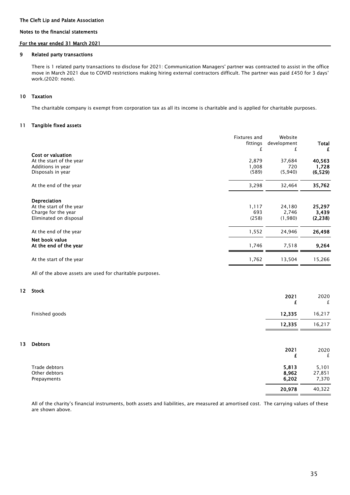#### Notes to the financial statements

#### For the year ended 31 March 2021

#### 9 Related party transactions

There is 1 related party transactions to disclose for 2021: Communication Managers' partner was contracted to assist in the office move in March 2021 due to COVID restrictions making hiring external contractors difficult. The partner was paid £450 for 3 days' work.(2020: none).

#### 10 Taxation

The charitable company is exempt from corporation tax as all its income is charitable and is applied for charitable purposes.

#### 11 Tangible fixed assets

|                                                                                           | Fixtures and<br>fittings<br>£ | Website<br>development<br>£ | <b>Total</b><br>£           |
|-------------------------------------------------------------------------------------------|-------------------------------|-----------------------------|-----------------------------|
| Cost or valuation<br>At the start of the year<br>Additions in year<br>Disposals in year   | 2,879<br>1,008<br>(589)       | 37,684<br>720<br>(5,940)    | 40,563<br>1,728<br>(6, 529) |
| At the end of the year                                                                    | 3,298                         | 32,464                      | 35,762                      |
| Depreciation<br>At the start of the year<br>Charge for the year<br>Eliminated on disposal | 1,117<br>693<br>(258)         | 24,180<br>2,746<br>(1,980)  | 25,297<br>3,439<br>(2, 238) |
| At the end of the year                                                                    | 1,552                         | 24,946                      | 26,498                      |
| Net book value<br>At the end of the year                                                  | 1,746                         | 7,518                       | 9,264                       |
| At the start of the year                                                                  | 1,762                         | 13,504                      | 15,266                      |

All of the above assets are used for charitable purposes.

#### 12 Stock

|    |                                               | 2021<br>£               | 2020<br>£                |
|----|-----------------------------------------------|-------------------------|--------------------------|
|    | Finished goods                                | 12,335                  | 16,217                   |
|    |                                               | 12,335                  | 16,217                   |
| 13 | <b>Debtors</b>                                | 2021<br>£               | 2020<br>£                |
|    | Trade debtors<br>Other debtors<br>Prepayments | 5,813<br>8,962<br>6,202 | 5,101<br>27,851<br>7,370 |
|    |                                               | 20,978                  | 40,322                   |

All of the charity's financial instruments, both assets and liabilities, are measured at amortised cost. The carrying values of these are shown above.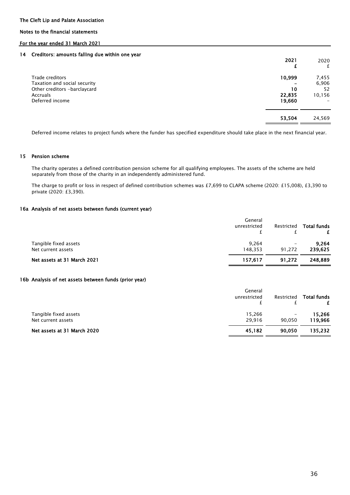#### Notes to the financial statements

#### For the year ended 31 March 2021

#### 14 Creditors: amounts falling due within one year

| <u>ordandisi annoanid rannig aad munii ond joar</u> | 2021   | 2020<br>£ |
|-----------------------------------------------------|--------|-----------|
| Trade creditors                                     | 10,999 | 7,455     |
| Taxation and social security                        |        | 6,906     |
| Other creditors -barclaycard                        | 10     | 52        |
| Accruals                                            | 22,835 | 10,156    |
| Deferred income                                     | 19,660 |           |
|                                                     | 53,504 | 24,569    |
|                                                     |        |           |

Deferred income relates to project funds where the funder has specified expenditure should take place in the next financial year.

#### 15 Pension scheme

The charity operates a defined contribution pension scheme for all qualifying employees. The assets of the scheme are held separately from those of the charity in an independently administered fund.

The charge to profit or loss in respect of defined contribution schemes was £7,699 to CLAPA scheme (2020: £15,008), £3,390 to private (2020: £3,390).

#### 16a Analysis of net assets between funds (current year)

|                                             | General<br>unrestricted | Restricted  | <b>Total funds</b> |
|---------------------------------------------|-------------------------|-------------|--------------------|
| Tangible fixed assets<br>Net current assets | 9.264<br>148.353        | -<br>91.272 | 9,264<br>239.625   |
| Net assets at 31 March 2021                 | 157.617                 | 91.272      | 248,889            |

#### 16b Analysis of net assets between funds (prior year)

|                                             | General<br>unrestricted | Restricted | <b>Total funds</b> |
|---------------------------------------------|-------------------------|------------|--------------------|
| Tangible fixed assets<br>Net current assets | 15,266<br>29.916        | 90.050     | 15,266<br>119,966  |
| Net assets at 31 March 2020                 | 45.182                  | 90.050     | 135.232            |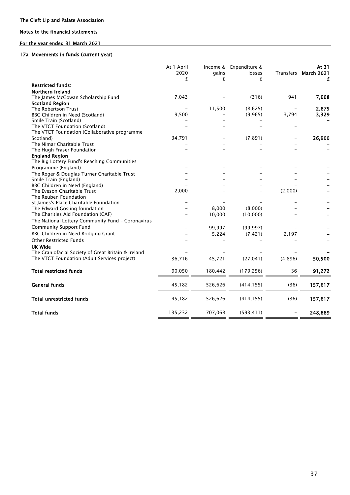#### Notes to the financial statements

#### For the year ended 31 March 2021

#### 17a Movements in funds (current year)

|                                                     | At 1 April<br>2020<br>£ | gains<br>£ | Income & Expenditure &<br>losses<br>£ |         | At 31<br>Transfers March 2021<br>£ |
|-----------------------------------------------------|-------------------------|------------|---------------------------------------|---------|------------------------------------|
| <b>Restricted funds:</b>                            |                         |            |                                       |         |                                    |
| Northern Ireland                                    |                         |            |                                       |         |                                    |
| The James McGowan Scholarship Fund                  | 7,043                   |            | (316)                                 | 941     | 7,668                              |
| <b>Scotland Region</b>                              |                         |            |                                       |         |                                    |
| The Robertson Trust                                 |                         | 11,500     | (8,625)                               |         | 2,875                              |
| BBC Children in Need (Scotland)                     | 9,500                   |            | (9, 965)                              | 3,794   | 3,329                              |
| Smile Train (Scotland)                              |                         |            |                                       |         |                                    |
| The VTCT Foundation (Scotland)                      |                         |            |                                       |         |                                    |
| The VTCT Foundation (Collaborative programme        |                         |            |                                       |         |                                    |
| Scotland)                                           | 34,791                  |            | (7, 891)                              |         | 26,900                             |
| The Nimar Charitable Trust                          |                         |            |                                       |         |                                    |
| The Hugh Fraser Foundation                          |                         |            |                                       |         |                                    |
| <b>England Region</b>                               |                         |            |                                       |         |                                    |
| The Big Lottery Fund's Reaching Communities         |                         |            |                                       |         |                                    |
| Programme (England)                                 |                         |            |                                       |         |                                    |
| The Roger & Douglas Turner Charitable Trust         |                         |            |                                       |         |                                    |
| Smile Train (England)                               |                         |            |                                       |         |                                    |
| BBC Children in Need (England)                      |                         |            |                                       |         |                                    |
| The Eveson Charitable Trust                         | 2,000                   |            |                                       | (2,000) |                                    |
| The Reuben Foundation                               |                         |            |                                       |         |                                    |
| St James's Place Charitable Foundation              |                         |            |                                       |         |                                    |
| The Edward Gosling foundation                       |                         | 8,000      | (8,000)                               |         |                                    |
| The Charities Aid Foundation (CAF)                  |                         | 10,000     | (10,000)                              |         |                                    |
| The National Lottery Community Fund - Coronavirus   |                         |            |                                       |         |                                    |
| <b>Community Support Fund</b>                       |                         | 99,997     | (99, 997)                             |         |                                    |
| BBC Children in Need Bridging Grant                 |                         |            |                                       |         |                                    |
|                                                     |                         | 5,224      | (7, 421)                              | 2,197   |                                    |
| <b>Other Restricted Funds</b>                       |                         |            |                                       |         |                                    |
| UK Wide                                             |                         |            |                                       |         |                                    |
| The Craniofacial Society of Great Britain & Ireland |                         |            |                                       |         |                                    |
| The VTCT Foundation (Adult Services project)        | 36,716                  | 45,721     | (27, 041)                             | (4,896) | 50,500                             |
| <b>Total restricted funds</b>                       | 90,050                  | 180,442    | (179, 256)                            | 36      | 91,272                             |
| <b>General funds</b>                                | 45,182                  | 526,626    | (414, 155)                            | (36)    | 157,617                            |
| <b>Total unrestricted funds</b>                     | 45,182                  | 526,626    | (414, 155)                            | (36)    | 157,617                            |
| <b>Total funds</b>                                  | 135,232                 | 707,068    | (593, 411)                            |         | 248,889                            |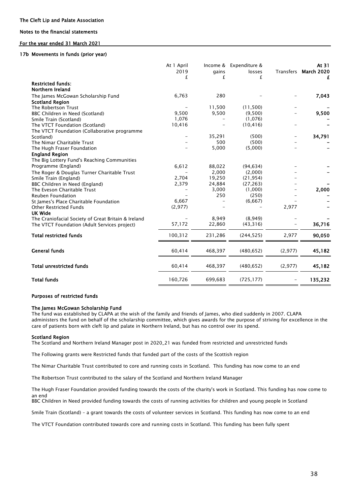#### Notes to the financial statements

#### For the year ended 31 March 2021

#### 17b Movements in funds (prior year)

|                                                     | At 1 April<br>2019<br>£ | Income &<br>gains<br>£ | Expenditure &<br>losses<br>£ | Transfers | At 31<br><b>March 2020</b> |
|-----------------------------------------------------|-------------------------|------------------------|------------------------------|-----------|----------------------------|
| <b>Restricted funds:</b>                            |                         |                        |                              |           |                            |
| Northern Ireland                                    |                         |                        |                              |           |                            |
| The James McGowan Scholarship Fund                  | 6,763                   | 280                    |                              |           | 7,043                      |
| <b>Scotland Region</b>                              |                         |                        |                              |           |                            |
| The Robertson Trust                                 |                         | 11,500                 | (11,500)                     |           |                            |
| BBC Children in Need (Scotland)                     | 9,500                   | 9,500                  | (9,500)                      |           | 9,500                      |
| Smile Train (Scotland)                              | 1,076                   |                        | (1,076)                      |           |                            |
| The VTCT Foundation (Scotland)                      | 10,416                  |                        | (10, 416)                    |           |                            |
| The VTCT Foundation (Collaborative programme        |                         |                        |                              |           |                            |
| Scotland)                                           |                         | 35,291                 | (500)                        |           | 34,791                     |
| The Nimar Charitable Trust                          |                         | 500                    | (500)                        |           |                            |
| The Hugh Fraser Foundation                          |                         | 5,000                  | (5,000)                      |           |                            |
| <b>England Region</b>                               |                         |                        |                              |           |                            |
| The Big Lottery Fund's Reaching Communities         |                         |                        |                              |           |                            |
| Programme (England)                                 | 6,612                   | 88,022                 | (94, 634)                    |           |                            |
| The Roger & Douglas Turner Charitable Trust         |                         | 2,000                  | (2,000)                      |           |                            |
| Smile Train (England)                               | 2,704                   | 19,250                 | (21, 954)                    |           |                            |
| BBC Children in Need (England)                      | 2,379                   | 24,884                 | (27, 263)                    |           |                            |
| The Eveson Charitable Trust                         |                         | 3,000                  | (1,000)                      |           | 2,000                      |
| <b>Reuben Foundation</b>                            |                         | 250                    | (250)                        |           |                            |
| St James's Place Charitable Foundation              | 6,667                   |                        | (6,667)                      |           |                            |
| <b>Other Restricted Funds</b>                       | (2,977)                 |                        |                              | 2,977     |                            |
| UK Wide                                             |                         |                        |                              |           |                            |
| The Craniofacial Society of Great Britain & Ireland |                         | 8,949                  | (8,949)                      |           |                            |
| The VTCT Foundation (Adult Services project)        | 57,172                  | 22,860                 | (43,316)                     |           | 36,716                     |
| <b>Total restricted funds</b>                       | 100,312                 | 231,286                | (244, 525)                   | 2,977     | 90,050                     |
| <b>General funds</b>                                | 60,414                  | 468,397                | (480, 652)                   | (2,977)   | 45,182                     |
| <b>Total unrestricted funds</b>                     | 60,414                  | 468,397                | (480, 652)                   | (2, 977)  | 45,182                     |
| <b>Total funds</b>                                  | 160,726                 | 699,683                | (725, 177)                   |           | 135,232                    |
|                                                     |                         |                        |                              |           |                            |

#### Purposes of restricted funds

#### The James McGowan Scholarship Fund

The fund was established by CLAPA at the wish of the family and friends of James, who died suddenly in 2007. CLAPA administers the fund on behalf of the scholarship committee, which gives awards for the purpose of striving for excellence in the care of patients born with cleft lip and palate in Northern Ireland, but has no control over its spend.

#### Scotland Region

The Scotland and Northern Ireland Manager post in 2020\_21 was funded from restricted and unrestricted funds

The Following grants were Restricted funds that funded part of the costs of the Scottish region

The Nimar Charitable Trust contributed to core and running costs in Scotland. This funding has now come to an end

The Robertson Trust contributed to the salary of the Scotland and Northern Ireland Manager

The Hugh Fraser Foundation provided funding towards the costs of the charity's work in Scotland. This funding has now come to an end

BBC Children in Need provided funding towards the costs of running activities for children and young people in Scotland

Smile Train (Scotland) – a grant towards the costs of volunteer services in Scotland. This funding has now come to an end

The VTCT Foundation contributed towards core and running costs in Scotland. This funding has been fully spent